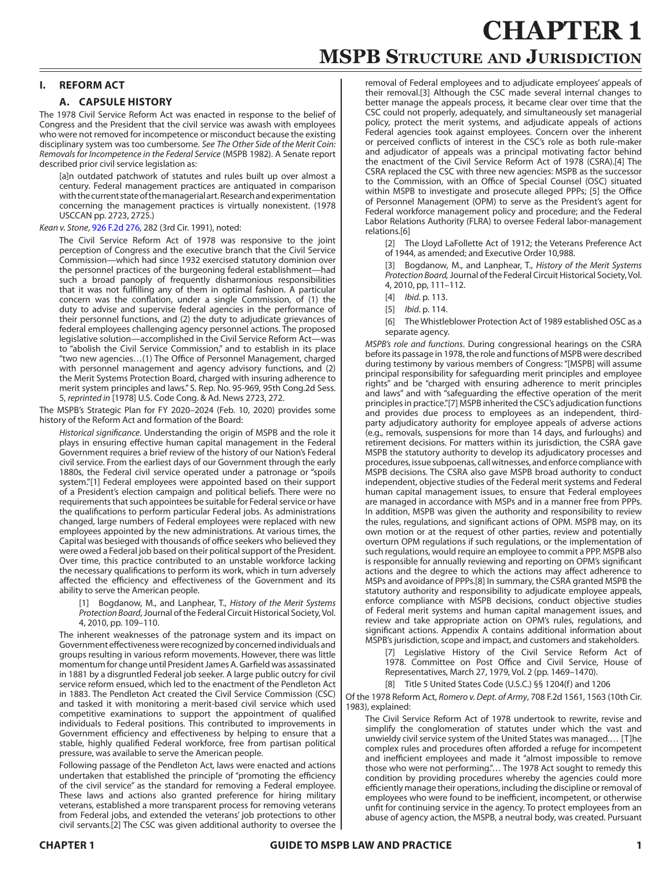# **CHAPTER 1 MSPB Structure and Jurisdiction**

# **I. REFORM ACT**

# **A. CAPSULE HISTORY**

The 1978 Civil Service Reform Act was enacted in response to the belief of Congress and the President that the civil service was awash with employees who were not removed for incompetence or misconduct because the existing disciplinary system was too cumbersome. *See The Other Side of the Merit Coin: Removals for Incompetence in the Federal Service* (MSPB 1982). A Senate report described prior civil service legislation as:

[a]n outdated patchwork of statutes and rules built up over almost a century. Federal management practices are antiquated in comparison with the current state of the managerial art. Research and experimentation concerning the management practices is virtually nonexistent. (1978 USCCAN pp. 2723, 2725.)

## *Kean v. Stone*, [926 F.2d 276](https://www.leagle.com/decision/19911202926f2d27611159), 282 (3rd Cir. 1991), noted:

The Civil Service Reform Act of 1978 was responsive to the joint perception of Congress and the executive branch that the Civil Service Commission—which had since 1932 exercised statutory dominion over the personnel practices of the burgeoning federal establishment—had such a broad panoply of frequently disharmonious responsibilities that it was not fulfilling any of them in optimal fashion. A particular concern was the conflation, under a single Commission, of (1) the duty to advise and supervise federal agencies in the performance of their personnel functions, and (2) the duty to adjudicate grievances of federal employees challenging agency personnel actions. The proposed legislative solution—accomplished in the Civil Service Reform Act—was to "abolish the Civil Service Commission," and to establish in its place "two new agencies…(1) The Office of Personnel Management, charged with personnel management and agency advisory functions, and (2) the Merit Systems Protection Board, charged with insuring adherence to merit system principles and laws." S. Rep. No. 95-969, 95th Cong.2d Sess. 5, *reprinted in* [1978] U.S. Code Cong. & Ad. News 2723, 272.

The MSPB's Strategic Plan for FY 2020–2024 (Feb. 10, 2020) provides some history of the Reform Act and formation of the Board:

*Historical significance*. Understanding the origin of MSPB and the role it plays in ensuring effective human capital management in the Federal Government requires a brief review of the history of our Nation's Federal civil service. From the earliest days of our Government through the early 1880s, the Federal civil service operated under a patronage or "spoils system."[1] Federal employees were appointed based on their support of a President's election campaign and political beliefs. There were no requirements that such appointees be suitable for Federal service or have the qualifications to perform particular Federal jobs. As administrations changed, large numbers of Federal employees were replaced with new employees appointed by the new administrations. At various times, the Capital was besieged with thousands of office seekers who believed they were owed a Federal job based on their political support of the President. Over time, this practice contributed to an unstable workforce lacking the necessary qualifications to perform its work, which in turn adversely affected the efficiency and effectiveness of the Government and its ability to serve the American people.

[1] Bogdanow, M., and Lanphear, T., *History of the Merit Systems Protection Board*, Journal of the Federal Circuit Historical Society, Vol. 4, 2010, pp. 109–110.

The inherent weaknesses of the patronage system and its impact on Government effectiveness were recognized by concerned individuals and groups resulting in various reform movements. However, there was little momentum for change until President James A. Garfield was assassinated in 1881 by a disgruntled Federal job seeker. A large public outcry for civil service reform ensued, which led to the enactment of the Pendleton Act in 1883. The Pendleton Act created the Civil Service Commission (CSC) and tasked it with monitoring a merit-based civil service which used competitive examinations to support the appointment of qualified individuals to Federal positions. This contributed to improvements in Government efficiency and effectiveness by helping to ensure that a stable, highly qualified Federal workforce, free from partisan political pressure, was available to serve the American people.

Following passage of the Pendleton Act, laws were enacted and actions undertaken that established the principle of "promoting the efficiency of the civil service" as the standard for removing a Federal employee. These laws and actions also granted preference for hiring military veterans, established a more transparent process for removing veterans from Federal jobs, and extended the veterans' job protections to other civil servants.[2] The CSC was given additional authority to oversee the removal of Federal employees and to adjudicate employees' appeals of their removal.[3] Although the CSC made several internal changes to better manage the appeals process, it became clear over time that the CSC could not properly, adequately, and simultaneously set managerial policy, protect the merit systems, and adjudicate appeals of actions Federal agencies took against employees. Concern over the inherent or perceived conflicts of interest in the CSC's role as both rule-maker and adjudicator of appeals was a principal motivating factor behind the enactment of the Civil Service Reform Act of 1978 (CSRA).[4] The CSRA replaced the CSC with three new agencies: MSPB as the successor to the Commission, with an Office of Special Counsel (OSC) situated within MSPB to investigate and prosecute alleged PPPs; [5] the Office of Personnel Management (OPM) to serve as the President's agent for Federal workforce management policy and procedure; and the Federal Labor Relations Authority (FLRA) to oversee Federal labor-management relations.[6]

[2] The Lloyd LaFollette Act of 1912; the Veterans Preference Act of 1944, as amended; and Executive Order 10,988.

[3] Bogdanow, M., and Lanphear, T., *History of the Merit Systems Protection Board,* Journal of the Federal Circuit Historical Society, Vol. 4, 2010, pp, 111–112.

- [4] *Ibid*. p. 113.
- [5] *Ibid*. p. 114.
- [6] The Whistleblower Protection Act of 1989 established OSC as a separate agency.

*MSPB's role and functions*. During congressional hearings on the CSRA before its passage in 1978, the role and functions of MSPB were described during testimony by various members of Congress: "[MSPB] will assume principal responsibility for safeguarding merit principles and employee rights" and be "charged with ensuring adherence to merit principles and laws" and with "safeguarding the effective operation of the merit principles in practice."[7] MSPB inherited the CSC's adjudication functions and provides due process to employees as an independent, thirdparty adjudicatory authority for employee appeals of adverse actions (e.g., removals, suspensions for more than 14 days, and furloughs) and retirement decisions. For matters within its jurisdiction, the CSRA gave MSPB the statutory authority to develop its adjudicatory processes and procedures, issue subpoenas, call witnesses, and enforce compliance with MSPB decisions. The CSRA also gave MSPB broad authority to conduct independent, objective studies of the Federal merit systems and Federal human capital management issues, to ensure that Federal employees are managed in accordance with MSPs and in a manner free from PPPs. In addition, MSPB was given the authority and responsibility to review the rules, regulations, and significant actions of OPM. MSPB may, on its own motion or at the request of other parties, review and potentially overturn OPM regulations if such regulations, or the implementation of such regulations, would require an employee to commit a PPP. MSPB also is responsible for annually reviewing and reporting on OPM's significant actions and the degree to which the actions may affect adherence to MSPs and avoidance of PPPs.[8] In summary, the CSRA granted MSPB the statutory authority and responsibility to adjudicate employee appeals, enforce compliance with MSPB decisions, conduct objective studies of Federal merit systems and human capital management issues, and review and take appropriate action on OPM's rules, regulations, and significant actions. Appendix A contains additional information about MSPB's jurisdiction, scope and impact, and customers and stakeholders.

[7] Legislative History of the Civil Service Reform Act of 1978. Committee on Post Office and Civil Service, House of Representatives, March 27, 1979, Vol. 2 (pp. 1469–1470).

[8] Title 5 United States Code (U.S.C.) §§ 1204(f) and 1206

Of the 1978 Reform Act, *Romero v. Dept. of Army*, 708 F.2d 1561, 1563 (10th Cir. 1983), explained:

The Civil Service Reform Act of 1978 undertook to rewrite, revise and simplify the conglomeration of statutes under which the vast and unwieldy civil service system of the United States was managed.… [T]he complex rules and procedures often afforded a refuge for incompetent and inefficient employees and made it "almost impossible to remove those who were not performing."… The 1978 Act sought to remedy this condition by providing procedures whereby the agencies could more efficiently manage their operations, including the discipline or removal of employees who were found to be inefficient, incompetent, or otherwise unfit for continuing service in the agency. To protect employees from an abuse of agency action, the MSPB, a neutral body, was created. Pursuant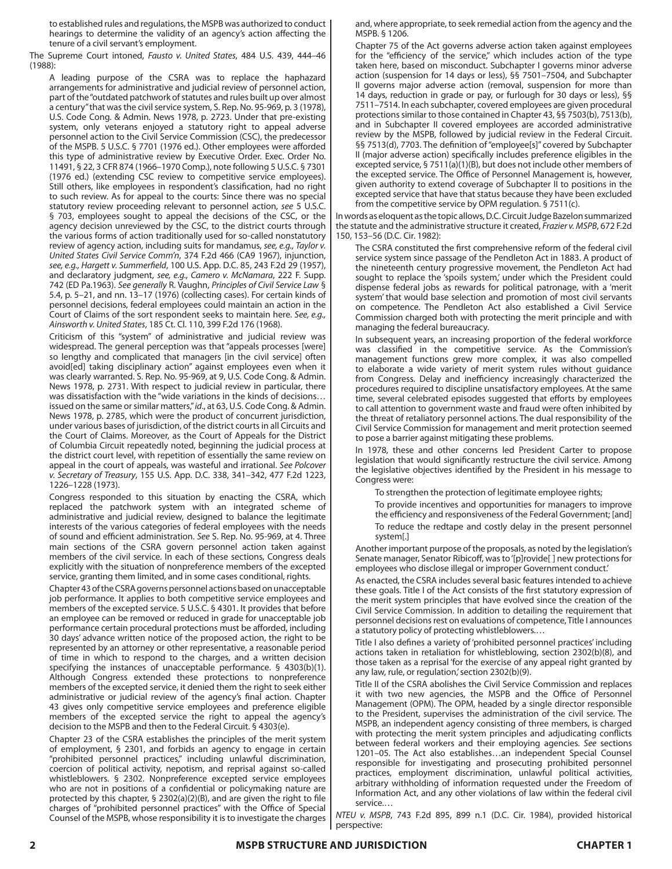to established rules and regulations, the MSPB was authorized to conduct hearings to determine the validity of an agency's action affecting the tenure of a civil servant's employment.

The Supreme Court intoned, *Fausto v. United States*, 484 U.S. 439, 444–46 (1988):

A leading purpose of the CSRA was to replace the haphazard arrangements for administrative and judicial review of personnel action, part of the "outdated patchwork of statutes and rules built up over almost a century" that was the civil service system, S. Rep. No. 95-969, p. 3 (1978), U.S. Code Cong. & Admin. News 1978, p. 2723. Under that pre-existing system, only veterans enjoyed a statutory right to appeal adverse personnel action to the Civil Service Commission (CSC), the predecessor of the MSPB. 5 U.S.C. § 7701 (1976 ed.). Other employees were afforded this type of administrative review by Executive Order. Exec. Order No. 11491, § 22, 3 CFR 874 (1966–1970 Comp.), note following 5 U.S.C. § 7301 (1976 ed.) (extending CSC review to competitive service employees). Still others, like employees in respondent's classification, had no right to such review. As for appeal to the courts: Since there was no special statutory review proceeding relevant to personnel action, *see* 5 U.S.C. § 703, employees sought to appeal the decisions of the CSC, or the agency decision unreviewed by the CSC, to the district courts through the various forms of action traditionally used for so-called nonstatutory review of agency action, including suits for mandamus, *see, e.g., Taylor v. United States Civil Service Comm'n*, 374 F.2d 466 (CA9 1967), injunction, *see, e.g., Hargett v. Summerfield*, 100 U.S. App. D.C. 85, 243 F.2d 29 (1957), and declaratory judgment, *see, e.g., Camero v. McNamara*, 222 F. Supp. 742 (ED Pa.1963). *See generally* R. Vaughn, *Principles of Civil Service Law* § 5.4, p. 5–21, and nn. 13–17 (1976) (collecting cases). For certain kinds of personnel decisions, federal employees could maintain an action in the Court of Claims of the sort respondent seeks to maintain here. *See, e.g., Ainsworth v. United States*, 185 Ct. Cl. 110, 399 F.2d 176 (1968).

Criticism of this "system" of administrative and judicial review was widespread. The general perception was that "appeals processes [were] so lengthy and complicated that managers [in the civil service] often avoid[ed] taking disciplinary action" against employees even when it was clearly warranted. S. Rep. No. 95-969, at 9, U.S. Code Cong. & Admin. News 1978, p. 2731. With respect to judicial review in particular, there was dissatisfaction with the "wide variations in the kinds of decisions… issued on the same or similar matters," *id*., at 63, U.S. Code Cong. & Admin. News 1978, p. 2785, which were the product of concurrent jurisdiction, under various bases of jurisdiction, of the district courts in all Circuits and the Court of Claims. Moreover, as the Court of Appeals for the District of Columbia Circuit repeatedly noted, beginning the judicial process at the district court level, with repetition of essentially the same review on appeal in the court of appeals, was wasteful and irrational. *See Polcover v. Secretary of Treasury*, 155 U.S. App. D.C. 338, 341–342, 477 F.2d 1223, 1226–1228 (1973).

Congress responded to this situation by enacting the CSRA, which replaced the patchwork system with an integrated scheme of administrative and judicial review, designed to balance the legitimate interests of the various categories of federal employees with the needs of sound and efficient administration. *See* S. Rep. No. 95-969, at 4. Three main sections of the CSRA govern personnel action taken against members of the civil service. In each of these sections, Congress deals explicitly with the situation of nonpreference members of the excepted service, granting them limited, and in some cases conditional, rights.

Chapter 43 of the CSRA governs personnel actions based on unacceptable job performance. It applies to both competitive service employees and members of the excepted service. 5 U.S.C. § 4301. It provides that before an employee can be removed or reduced in grade for unacceptable job performance certain procedural protections must be afforded, including 30 days' advance written notice of the proposed action, the right to be represented by an attorney or other representative, a reasonable period of time in which to respond to the charges, and a written decision specifying the instances of unacceptable performance. § 4303(b)(1). Although Congress extended these protections to nonpreference members of the excepted service, it denied them the right to seek either administrative or judicial review of the agency's final action. Chapter 43 gives only competitive service employees and preference eligible members of the excepted service the right to appeal the agency's decision to the MSPB and then to the Federal Circuit. § 4303(e).

Chapter 23 of the CSRA establishes the principles of the merit system of employment, § 2301, and forbids an agency to engage in certain "prohibited personnel practices," including unlawful discrimination, coercion of political activity, nepotism, and reprisal against so-called whistleblowers. § 2302. Nonpreference excepted service employees who are not in positions of a confidential or policymaking nature are protected by this chapter, § 2302(a)(2)(B), and are given the right to file charges of "prohibited personnel practices" with the Office of Special Counsel of the MSPB, whose responsibility it is to investigate the charges and, where appropriate, to seek remedial action from the agency and the MSPB. § 1206.

Chapter 75 of the Act governs adverse action taken against employees for the "efficiency of the service," which includes action of the type taken here, based on misconduct. Subchapter I governs minor adverse action (suspension for 14 days or less), §§ 7501–7504, and Subchapter II governs major adverse action (removal, suspension for more than 14 days, reduction in grade or pay, or furlough for 30 days or less), §§ 7511–7514. In each subchapter, covered employees are given procedural protections similar to those contained in Chapter 43, §§ 7503(b), 7513(b), and in Subchapter II covered employees are accorded administrative review by the MSPB, followed by judicial review in the Federal Circuit. §§ 7513(d), 7703. The definition of "employee[s]" covered by Subchapter II (major adverse action) specifically includes preference eligibles in the excepted service, § 7511(a)(1)(B), but does not include other members of the excepted service. The Office of Personnel Management is, however, given authority to extend coverage of Subchapter II to positions in the excepted service that have that status because they have been excluded from the competitive service by OPM regulation. § 7511(c).

In words as eloquent as the topic allows, D.C. Circuit Judge Bazelon summarized the statute and the administrative structure it created, *Frazier v. MSPB*, 672 F.2d 150, 153–56 (D.C. Cir. 1982):

The CSRA constituted the first comprehensive reform of the federal civil service system since passage of the Pendleton Act in 1883. A product of the nineteenth century progressive movement, the Pendleton Act had sought to replace the 'spoils system,' under which the President could dispense federal jobs as rewards for political patronage, with a 'merit system' that would base selection and promotion of most civil servants on competence. The Pendleton Act also established a Civil Service Commission charged both with protecting the merit principle and with managing the federal bureaucracy.

In subsequent years, an increasing proportion of the federal workforce was classified in the competitive service. As the Commission's management functions grew more complex, it was also compelled to elaborate a wide variety of merit system rules without guidance from Congress. Delay and inefficiency increasingly characterized the procedures required to discipline unsatisfactory employees. At the same time, several celebrated episodes suggested that efforts by employees to call attention to government waste and fraud were often inhibited by the threat of retaliatory personnel actions. The dual responsibility of the Civil Service Commission for management and merit protection seemed to pose a barrier against mitigating these problems.

In 1978, these and other concerns led President Carter to propose legislation that would significantly restructure the civil service. Among the legislative objectives identified by the President in his message to Congress were:

To strengthen the protection of legitimate employee rights;

To provide incentives and opportunities for managers to improve the efficiency and responsiveness of the Federal Government; [and] To reduce the redtape and costly delay in the present personnel system[.]

Another important purpose of the proposals, as noted by the legislation's Senate manager, Senator Ribicoff, was to '[p]rovide[ ] new protections for employees who disclose illegal or improper Government conduct.'

As enacted, the CSRA includes several basic features intended to achieve these goals. Title I of the Act consists of the first statutory expression of the merit system principles that have evolved since the creation of the Civil Service Commission. In addition to detailing the requirement that personnel decisions rest on evaluations of competence, Title I announces a statutory policy of protecting whistleblowers.…

Title I also defines a variety of 'prohibited personnel practices' including actions taken in retaliation for whistleblowing, section 2302(b)(8), and those taken as a reprisal 'for the exercise of any appeal right granted by any law, rule, or regulation,' section 2302(b)(9).

Title II of the CSRA abolishes the Civil Service Commission and replaces it with two new agencies, the MSPB and the Office of Personnel Management (OPM). The OPM, headed by a single director responsible to the President, supervises the administration of the civil service. The MSPB, an independent agency consisting of three members, is charged with protecting the merit system principles and adjudicating conflicts between federal workers and their employing agencies. *See* sections 1201–05. The Act also establishes…an independent Special Counsel responsible for investigating and prosecuting prohibited personnel practices, employment discrimination, unlawful political activities, arbitrary withholding of information requested under the Freedom of Information Act, and any other violations of law within the federal civil service.…

*NTEU v. MSPB*, 743 F.2d 895, 899 n.1 (D.C. Cir. 1984), provided historical perspective: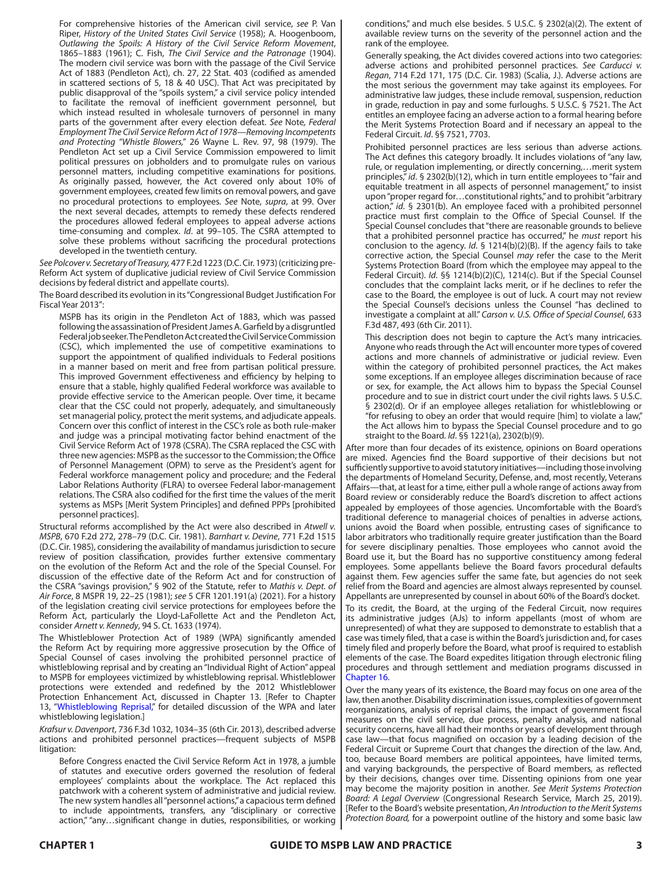For comprehensive histories of the American civil service, *see* P. Van Riper, *History of the United States Civil Service* (1958); A. Hoogenboom, *Outlawing the Spoils: A History of the Civil Service Reform Movement*, 1865–1883 (1961); C. Fish, *The Civil Service and the Patronage* (1904). The modern civil service was born with the passage of the Civil Service Act of 1883 (Pendleton Act), ch. 27, 22 Stat. 403 (codified as amended in scattered sections of 5, 18 & 40 USC). That Act was precipitated by public disapproval of the "spoils system," a civil service policy intended to facilitate the removal of inefficient government personnel, but which instead resulted in wholesale turnovers of personnel in many parts of the government after every election defeat. *See* Note*, Federal Employment The Civil Service Reform Act of 1978—Removing Incompetents and Protecting "Whistle Blowers,"* 26 Wayne L. Rev. 97, 98 (1979). The Pendleton Act set up a Civil Service Commission empowered to limit political pressures on jobholders and to promulgate rules on various personnel matters, including competitive examinations for positions. As originally passed, however, the Act covered only about 10% of government employees, created few limits on removal powers, and gave no procedural protections to employees. *See* Note, *supra*, at 99. Over the next several decades, attempts to remedy these defects rendered the procedures allowed federal employees to appeal adverse actions time-consuming and complex. *Id*. at 99–105. The CSRA attempted to solve these problems without sacrificing the procedural protections developed in the twentieth century.

*See Polcover v. Secretary of Treasury,* 477 F.2d 1223 (D.C. Cir. 1973) (criticizing pre-Reform Act system of duplicative judicial review of Civil Service Commission decisions by federal district and appellate courts).

The Board described its evolution in its "Congressional Budget Justification For Fiscal Year 2013":

MSPB has its origin in the Pendleton Act of 1883, which was passed following the assassination of President James A. Garfield by a disgruntled Federal job seeker. The Pendleton Act created the Civil Service Commission (CSC), which implemented the use of competitive examinations to support the appointment of qualified individuals to Federal positions in a manner based on merit and free from partisan political pressure. This improved Government effectiveness and efficiency by helping to ensure that a stable, highly qualified Federal workforce was available to provide effective service to the American people. Over time, it became clear that the CSC could not properly, adequately, and simultaneously set managerial policy, protect the merit systems, and adjudicate appeals. Concern over this conflict of interest in the CSC's role as both rule-maker and judge was a principal motivating factor behind enactment of the Civil Service Reform Act of 1978 (CSRA). The CSRA replaced the CSC with three new agencies: MSPB as the successor to the Commission; the Office of Personnel Management (OPM) to serve as the President's agent for Federal workforce management policy and procedure; and the Federal Labor Relations Authority (FLRA) to oversee Federal labor-management relations. The CSRA also codified for the first time the values of the merit systems as MSPs [Merit System Principles] and defined PPPs [prohibited personnel practices].

Structural reforms accomplished by the Act were also described in *Atwell v. MSPB*, 670 F.2d 272, 278–79 (D.C. Cir. 1981). *Barnhart v. Devine*, 771 F.2d 1515 (D.C. Cir. 1985), considering the availability of mandamus jurisdiction to secure review of position classification, provides further extensive commentary on the evolution of the Reform Act and the role of the Special Counsel. For discussion of the effective date of the Reform Act and for construction of the CSRA "savings provision," § 902 of the Statute, refer to *Mathis v. Dept. of Air Force*, 8 MSPR 19, 22–25 (1981); *see* 5 CFR 1201.191(a) (2021). For a history of the legislation creating civil service protections for employees before the Reform Act, particularly the Lloyd-LaFollette Act and the Pendleton Act, consider *Arnett v. Kennedy*, 94 S. Ct. 1633 (1974).

The Whistleblower Protection Act of 1989 (WPA) significantly amended the Reform Act by requiring more aggressive prosecution by the Office of Special Counsel of cases involving the prohibited personnel practice of whistleblowing reprisal and by creating an "Individual Right of Action" appeal to MSPB for employees victimized by whistleblowing reprisal. Whistleblower protections were extended and redefined by the 2012 Whistleblower Protection Enhancement Act, discussed in Chapter 13. [Refer to Chapter 13, "Whistleblowing Reprisal," for detailed discussion of the WPA and later whistleblowing legislation.]

*Krafsur v. Davenport*, 736 F.3d 1032, 1034–35 (6th Cir. 2013), described adverse actions and prohibited personnel practices—frequent subjects of MSPB litigation:

Before Congress enacted the Civil Service Reform Act in 1978, a jumble of statutes and executive orders governed the resolution of federal employees' complaints about the workplace. The Act replaced this patchwork with a coherent system of administrative and judicial review. The new system handles all "personnel actions," a capacious term defined to include appointments, transfers, any "disciplinary or corrective action," "any…significant change in duties, responsibilities, or working conditions," and much else besides. 5 U.S.C. § 2302(a)(2). The extent of available review turns on the severity of the personnel action and the rank of the employee.

Generally speaking, the Act divides covered actions into two categories: adverse actions and prohibited personnel practices. *See Carducci v. Regan*, 714 F.2d 171, 175 (D.C. Cir. 1983) (Scalia, J.). Adverse actions are the most serious the government may take against its employees. For administrative law judges, these include removal, suspension, reduction in grade, reduction in pay and some furloughs. 5 U.S.C. § 7521. The Act entitles an employee facing an adverse action to a formal hearing before the Merit Systems Protection Board and if necessary an appeal to the Federal Circuit. *Id*. §§ 7521, 7703.

Prohibited personnel practices are less serious than adverse actions. The Act defines this category broadly. It includes violations of "any law, rule, or regulation implementing, or directly concerning,…merit system principles," *id*. § 2302(b)(12), which in turn entitle employees to "fair and equitable treatment in all aspects of personnel management," to insist upon "proper regard for…constitutional rights," and to prohibit "arbitrary action," *id*. § 2301(b). An employee faced with a prohibited personnel practice must first complain to the Office of Special Counsel. If the Special Counsel concludes that "there are reasonable grounds to believe that a prohibited personnel practice has occurred," he *must* report his conclusion to the agency. *Id*. § 1214(b)(2)(B). If the agency fails to take corrective action, the Special Counsel *may* refer the case to the Merit Systems Protection Board (from which the employee may appeal to the Federal Circuit). *Id*. §§ 1214(b)(2)(C), 1214(c). But if the Special Counsel concludes that the complaint lacks merit, or if he declines to refer the case to the Board, the employee is out of luck. A court may not review the Special Counsel's decisions unless the Counsel "has declined to investigate a complaint at all." *Carson v. U.S. Office of Special Counsel*, 633 F.3d 487, 493 (6th Cir. 2011).

This description does not begin to capture the Act's many intricacies. Anyone who reads through the Act will encounter more types of covered actions and more channels of administrative or judicial review. Even within the category of prohibited personnel practices, the Act makes some exceptions. If an employee alleges discrimination because of race or sex, for example, the Act allows him to bypass the Special Counsel procedure and to sue in district court under the civil rights laws. 5 U.S.C. § 2302(d). Or if an employee alleges retaliation for whistleblowing or "for refusing to obey an order that would require [him] to violate a law," the Act allows him to bypass the Special Counsel procedure and to go straight to the Board. *Id*. §§ 1221(a), 2302(b)(9).

After more than four decades of its existence, opinions on Board operations are mixed. Agencies find the Board supportive of their decisions but not sufficiently supportive to avoid statutory initiatives—including those involving the departments of Homeland Security, Defense, and, most recently, Veterans Affairs—that, at least for a time, either pull a whole range of actions away from Board review or considerably reduce the Board's discretion to affect actions appealed by employees of those agencies. Uncomfortable with the Board's traditional deference to managerial choices of penalties in adverse actions, unions avoid the Board when possible, entrusting cases of significance to labor arbitrators who traditionally require greater justification than the Board for severe disciplinary penalties. Those employees who cannot avoid the Board use it, but the Board has no supportive constituency among federal employees. Some appellants believe the Board favors procedural defaults against them. Few agencies suffer the same fate, but agencies do not seek relief from the Board and agencies are almost always represented by counsel. Appellants are unrepresented by counsel in about 60% of the Board's docket.

To its credit, the Board, at the urging of the Federal Circuit, now requires its administrative judges (AJs) to inform appellants (most of whom are unrepresented) of what they are supposed to demonstrate to establish that a case was timely filed, that a case is within the Board's jurisdiction and, for cases timely filed and properly before the Board, what proof is required to establish elements of the case. The Board expedites litigation through electronic filing procedures and through settlement and mediation programs discussed in Chapter 16.

Over the many years of its existence, the Board may focus on one area of the law, then another. Disability discrimination issues, complexities of government reorganizations, analysis of reprisal claims, the impact of government fiscal measures on the civil service, due process, penalty analysis, and national security concerns, have all had their months or years of development through case law—that focus magnified on occasion by a leading decision of the Federal Circuit or Supreme Court that changes the direction of the law. And, too, because Board members are political appointees, have limited terms, and varying backgrounds, the perspective of Board members, as reflected by their decisions, changes over time. Dissenting opinions from one year may become the majority position in another. *See Merit Systems Protection Board: A Legal Overview* (Congressional Research Service, March 25, 2019). [Refer to the Board's website presentation, *An Introduction to the Merit Systems Protection Board,* for a powerpoint outline of the history and some basic law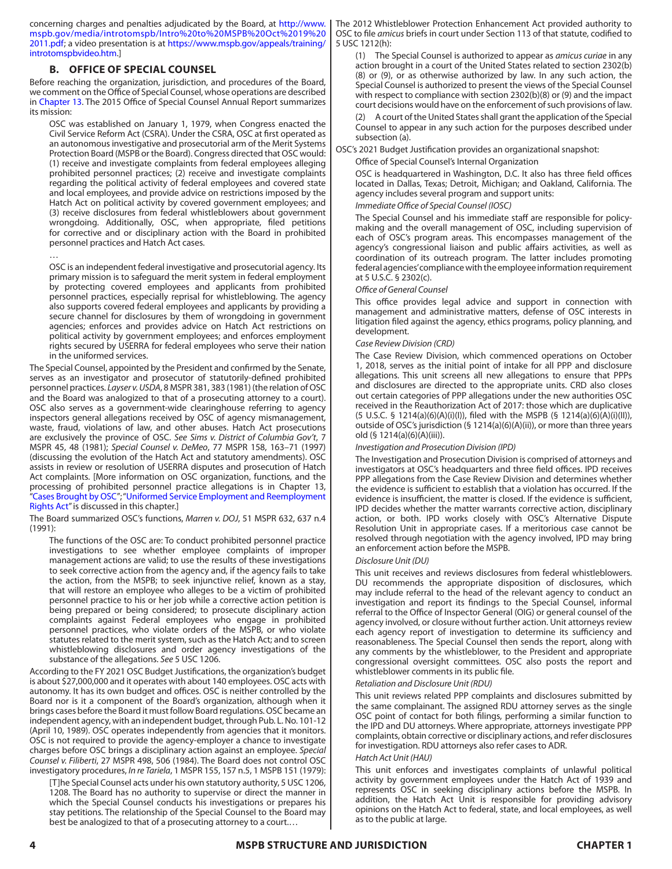concerning charges and penalties adjudicated by the Board, at [http://www.](http://www.mspb.gov/media/introtomspb/Intro%20to%20MSPB%20Oct%2019%202011.pdf) [mspb.gov/media/introtomspb/Intro%20to%20MSPB%20Oct%2019%20](http://www.mspb.gov/media/introtomspb/Intro%20to%20MSPB%20Oct%2019%202011.pdf) [2011.pdf](http://www.mspb.gov/media/introtomspb/Intro%20to%20MSPB%20Oct%2019%202011.pdf); a video presentation is at [https://www.mspb.gov/appeals/training/](https://www.mspb.gov/appeals/training/introtomspbvideo.htm) [introtomspbvideo.htm](https://www.mspb.gov/appeals/training/introtomspbvideo.htm).]

# **B. OFFICE OF SPECIAL COUNSEL**

Before reaching the organization, jurisdiction, and procedures of the Board, we comment on the Office of Special Counsel, whose operations are described in Chapter 13. The 2015 Office of Special Counsel Annual Report summarizes its mission:

OSC was established on January 1, 1979, when Congress enacted the Civil Service Reform Act (CSRA). Under the CSRA, OSC at first operated as an autonomous investigative and prosecutorial arm of the Merit Systems Protection Board (MSPB or the Board). Congress directed that OSC would: (1) receive and investigate complaints from federal employees alleging prohibited personnel practices; (2) receive and investigate complaints regarding the political activity of federal employees and covered state and local employees, and provide advice on restrictions imposed by the Hatch Act on political activity by covered government employees; and (3) receive disclosures from federal whistleblowers about government wrongdoing. Additionally, OSC, when appropriate, filed petitions for corrective and or disciplinary action with the Board in prohibited personnel practices and Hatch Act cases.

…

OSC is an independent federal investigative and prosecutorial agency. Its primary mission is to safeguard the merit system in federal employment by protecting covered employees and applicants from prohibited personnel practices, especially reprisal for whistleblowing. The agency also supports covered federal employees and applicants by providing a secure channel for disclosures by them of wrongdoing in government agencies; enforces and provides advice on Hatch Act restrictions on political activity by government employees; and enforces employment rights secured by USERRA for federal employees who serve their nation in the uniformed services.

The Special Counsel, appointed by the President and confirmed by the Senate, serves as an investigator and prosecutor of statutorily-defined prohibited personnel practices. *Layser v. USDA*, 8 MSPR 381, 383 (1981) (the relation of OSC and the Board was analogized to that of a prosecuting attorney to a court). OSC also serves as a government-wide clearinghouse referring to agency inspectors general allegations received by OSC of agency mismanagement, waste, fraud, violations of law, and other abuses. Hatch Act prosecutions are exclusively the province of OSC. *See Sims v. District of Columbia Gov't*, 7 MSPR 45, 48 (1981); *Special Counsel v. DeMeo*, 77 MSPR 158, 163–71 (1997) (discussing the evolution of the Hatch Act and statutory amendments). OSC assists in review or resolution of USERRA disputes and prosecution of Hatch Act complaints. [More information on OSC organization, functions, and the processing of prohibited personnel practice allegations is in Chapter 13, "Cases Brought by OSC"; "Uniformed Service Employment and Reemployment Rights Act" is discussed in this chapter.]

The Board summarized OSC's functions, *Marren v. DOJ*, 51 MSPR 632, 637 n.4 (1991):

The functions of the OSC are: To conduct prohibited personnel practice investigations to see whether employee complaints of improper management actions are valid; to use the results of these investigations to seek corrective action from the agency and, if the agency fails to take the action, from the MSPB; to seek injunctive relief, known as a stay, that will restore an employee who alleges to be a victim of prohibited personnel practice to his or her job while a corrective action petition is being prepared or being considered; to prosecute disciplinary action complaints against Federal employees who engage in prohibited personnel practices, who violate orders of the MSPB, or who violate statutes related to the merit system, such as the Hatch Act; and to screen whistleblowing disclosures and order agency investigations of the substance of the allegations. *See* 5 USC 1206.

According to the FY 2021 OSC Budget Justifications, the organization's budget is about \$27,000,000 and it operates with about 140 employees. OSC acts with autonomy. It has its own budget and offices. OSC is neither controlled by the Board nor is it a component of the Board's organization, although when it brings cases before the Board it must follow Board regulations. OSC became an independent agency, with an independent budget, through Pub. L. No. 101-12 (April 10, 1989). OSC operates independently from agencies that it monitors. OSC is not required to provide the agency-employer a chance to investigate charges before OSC brings a disciplinary action against an employee. *Special Counsel v. Filiberti*, 27 MSPR 498, 506 (1984). The Board does not control OSC investigatory procedures, *In re Tariela*, 1 MSPR 155, 157 n.5, 1 MSPB 151 (1979):

[T]he Special Counsel acts under his own statutory authority, 5 USC 1206, 1208. The Board has no authority to supervise or direct the manner in which the Special Counsel conducts his investigations or prepares his stay petitions. The relationship of the Special Counsel to the Board may best be analogized to that of a prosecuting attorney to a court.…

The 2012 Whistleblower Protection Enhancement Act provided authority to OSC to file *amicus* briefs in court under Section 113 of that statute, codified to 5 USC 1212(h):

(1) The Special Counsel is authorized to appear as *amicus curiae* in any action brought in a court of the United States related to section 2302(b) (8) or (9), or as otherwise authorized by law. In any such action, the Special Counsel is authorized to present the views of the Special Counsel with respect to compliance with section 2302(b)(8) or (9) and the impact court decisions would have on the enforcement of such provisions of law.

(2) A court of the United States shall grant the application of the Special Counsel to appear in any such action for the purposes described under subsection (a).

OSC's 2021 Budget Justification provides an organizational snapshot:

Office of Special Counsel's Internal Organization

OSC is headquartered in Washington, D.C. It also has three field offices located in Dallas, Texas; Detroit, Michigan; and Oakland, California. The agency includes several program and support units:

## *Immediate Office of Special Counsel (IOSC)*

The Special Counsel and his immediate staff are responsible for policymaking and the overall management of OSC, including supervision of each of OSC's program areas. This encompasses management of the agency's congressional liaison and public affairs activities, as well as coordination of its outreach program. The latter includes promoting federal agencies' compliance with the employee information requirement at 5 U.S.C. § 2302(c).

#### *Office of General Counsel*

This office provides legal advice and support in connection with management and administrative matters, defense of OSC interests in litigation filed against the agency, ethics programs, policy planning, and development.

#### *Case Review Division (CRD)*

The Case Review Division, which commenced operations on October 1, 2018, serves as the initial point of intake for all PPP and disclosure allegations. This unit screens all new allegations to ensure that PPPs and disclosures are directed to the appropriate units. CRD also closes out certain categories of PPP allegations under the new authorities OSC received in the Reauthorization Act of 2017: those which are duplicative (5 U.S.C. § 1214(a)(6)(A)(i)(I)), filed with the MSPB (§ 1214(a)(6)(A)(i)(II)), outside of OSC's jurisdiction (§ 1214(a)(6)(A)(ii)), or more than three years old (§ 1214(a)(6)(A)(iii)).

#### *Investigation and Prosecution Division (IPD)*

The Investigation and Prosecution Division is comprised of attorneys and investigators at OSC's headquarters and three field offices. IPD receives PPP allegations from the Case Review Division and determines whether the evidence is sufficient to establish that a violation has occurred. If the evidence is insufficient, the matter is closed. If the evidence is sufficient, IPD decides whether the matter warrants corrective action, disciplinary action, or both. IPD works closely with OSC's Alternative Dispute Resolution Unit in appropriate cases. If a meritorious case cannot be resolved through negotiation with the agency involved, IPD may bring an enforcement action before the MSPB.

#### *Disclosure Unit (DU)*

This unit receives and reviews disclosures from federal whistleblowers. DU recommends the appropriate disposition of disclosures, which may include referral to the head of the relevant agency to conduct an investigation and report its findings to the Special Counsel, informal referral to the Office of Inspector General (OIG) or general counsel of the agency involved, or closure without further action. Unit attorneys review each agency report of investigation to determine its sufficiency and reasonableness. The Special Counsel then sends the report, along with any comments by the whistleblower, to the President and appropriate congressional oversight committees. OSC also posts the report and whistleblower comments in its public file.

#### *Retaliation and Disclosure Unit (RDU)*

This unit reviews related PPP complaints and disclosures submitted by the same complainant. The assigned RDU attorney serves as the single OSC point of contact for both filings, performing a similar function to the IPD and DU attorneys. Where appropriate, attorneys investigate PPP complaints, obtain corrective or disciplinary actions, and refer disclosures for investigation. RDU attorneys also refer cases to ADR.

#### *Hatch Act Unit (HAU)*

This unit enforces and investigates complaints of unlawful political activity by government employees under the Hatch Act of 1939 and represents OSC in seeking disciplinary actions before the MSPB. In addition, the Hatch Act Unit is responsible for providing advisory opinions on the Hatch Act to federal, state, and local employees, as well as to the public at large.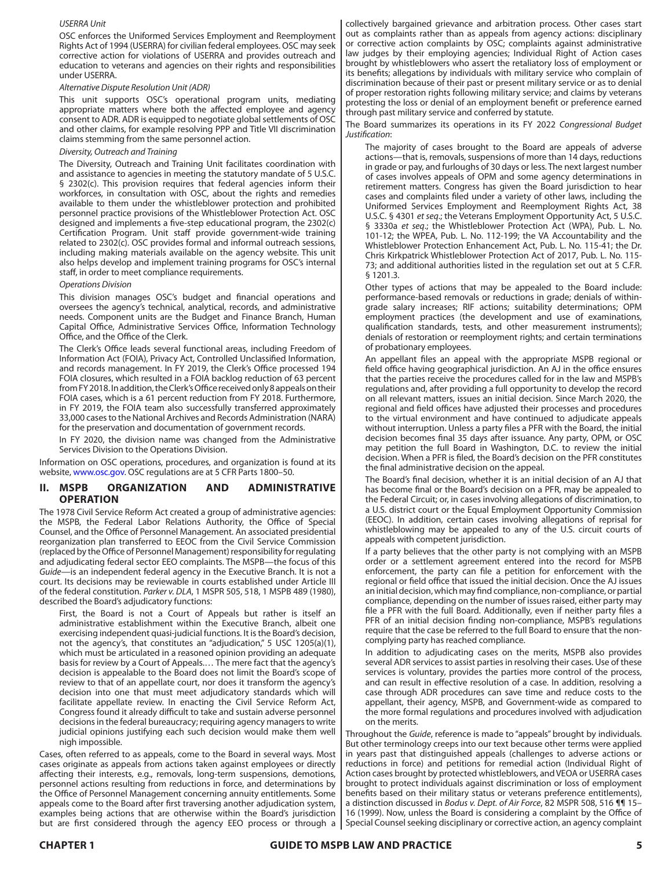#### *USERRA Unit*

OSC enforces the Uniformed Services Employment and Reemployment Rights Act of 1994 (USERRA) for civilian federal employees. OSC may seek corrective action for violations of USERRA and provides outreach and education to veterans and agencies on their rights and responsibilities under USERRA.

#### *Alternative Dispute Resolution Unit (ADR)*

This unit supports OSC's operational program units, mediating appropriate matters where both the affected employee and agency consent to ADR. ADR is equipped to negotiate global settlements of OSC and other claims, for example resolving PPP and Title VII discrimination claims stemming from the same personnel action.

#### *Diversity, Outreach and Training*

The Diversity, Outreach and Training Unit facilitates coordination with and assistance to agencies in meeting the statutory mandate of 5 U.S.C. § 2302(c). This provision requires that federal agencies inform their workforces, in consultation with OSC, about the rights and remedies available to them under the whistleblower protection and prohibited personnel practice provisions of the Whistleblower Protection Act. OSC designed and implements a five-step educational program, the 2302(c) Certification Program. Unit staff provide government-wide training related to 2302(c). OSC provides formal and informal outreach sessions, including making materials available on the agency website. This unit also helps develop and implement training programs for OSC's internal staff, in order to meet compliance requirements.

#### *Operations Division*

This division manages OSC's budget and financial operations and oversees the agency's technical, analytical, records, and administrative needs. Component units are the Budget and Finance Branch, Human Capital Office, Administrative Services Office, Information Technology Office, and the Office of the Clerk.

The Clerk's Office leads several functional areas, including Freedom of Information Act (FOIA), Privacy Act, Controlled Unclassified Information, and records management. In FY 2019, the Clerk's Office processed 194 FOIA closures, which resulted in a FOIA backlog reduction of 63 percent from FY 2018. In addition, the Clerk's Office received only 8 appeals on their FOIA cases, which is a 61 percent reduction from FY 2018. Furthermore, in FY 2019, the FOIA team also successfully transferred approximately 33,000 cases to the National Archives and Records Administration (NARA) for the preservation and documentation of government records.

In FY 2020, the division name was changed from the Administrative Services Division to the Operations Division.

Information on OSC operations, procedures, and organization is found at its website, <www.osc.gov>. OSC regulations are at 5 CFR Parts 1800–50.

## **II. MSPB ORGANIZATION AND ADMINISTRATIVE OPERATION**

The 1978 Civil Service Reform Act created a group of administrative agencies: the MSPB, the Federal Labor Relations Authority, the Office of Special Counsel, and the Office of Personnel Management. An associated presidential reorganization plan transferred to EEOC from the Civil Service Commission (replaced by the Office of Personnel Management) responsibility for regulating and adjudicating federal sector EEO complaints. The MSPB—the focus of this *Guide*—is an independent federal agency in the Executive Branch. It is not a court. Its decisions may be reviewable in courts established under Article III of the federal constitution. *Parker v. DLA*, 1 MSPR 505, 518, 1 MSPB 489 (1980), described the Board's adjudicatory functions:

First, the Board is not a Court of Appeals but rather is itself an administrative establishment within the Executive Branch, albeit one exercising independent quasi-judicial functions. It is the Board's decision, not the agency's, that constitutes an "adjudication," 5 USC 1205(a)(1), which must be articulated in a reasoned opinion providing an adequate basis for review by a Court of Appeals.… The mere fact that the agency's decision is appealable to the Board does not limit the Board's scope of review to that of an appellate court, nor does it transform the agency's decision into one that must meet adjudicatory standards which will facilitate appellate review. In enacting the Civil Service Reform Act, Congress found it already difficult to take and sustain adverse personnel decisions in the federal bureaucracy; requiring agency managers to write judicial opinions justifying each such decision would make them well nigh impossible.

Cases, often referred to as appeals, come to the Board in several ways. Most cases originate as appeals from actions taken against employees or directly affecting their interests, e.g., removals, long-term suspensions, demotions, personnel actions resulting from reductions in force, and determinations by the Office of Personnel Management concerning annuity entitlements. Some appeals come to the Board after first traversing another adjudication system, examples being actions that are otherwise within the Board's jurisdiction but are first considered through the agency EEO process or through a |

collectively bargained grievance and arbitration process. Other cases start out as complaints rather than as appeals from agency actions: disciplinary or corrective action complaints by OSC; complaints against administrative law judges by their employing agencies; Individual Right of Action cases brought by whistleblowers who assert the retaliatory loss of employment or its benefits; allegations by individuals with military service who complain of discrimination because of their past or present military service or as to denial of proper restoration rights following military service; and claims by veterans protesting the loss or denial of an employment benefit or preference earned through past military service and conferred by statute.

The Board summarizes its operations in its FY 2022 *Congressional Budget Justification*:

The majority of cases brought to the Board are appeals of adverse actions—that is, removals, suspensions of more than 14 days, reductions in grade or pay, and furloughs of 30 days or less. The next largest number of cases involves appeals of OPM and some agency determinations in retirement matters. Congress has given the Board jurisdiction to hear cases and complaints filed under a variety of other laws, including the Uniformed Services Employment and Reemployment Rights Act, 38 U.S.C. § 4301 *et seq*.; the Veterans Employment Opportunity Act, 5 U.S.C. § 3330a *et seq*.; the Whistleblower Protection Act (WPA), Pub. L. No. 101-12; the WPEA, Pub. L. No. 112-199; the VA Accountability and the Whistleblower Protection Enhancement Act, Pub. L. No. 115-41; the Dr. Chris Kirkpatrick Whistleblower Protection Act of 2017, Pub. L. No. 115- 73; and additional authorities listed in the regulation set out at 5 C.F.R. § 1201.3.

Other types of actions that may be appealed to the Board include: performance-based removals or reductions in grade; denials of withingrade salary increases; RIF actions; suitability determinations; OPM employment practices (the development and use of examinations, qualification standards, tests, and other measurement instruments); denials of restoration or reemployment rights; and certain terminations of probationary employees.

An appellant files an appeal with the appropriate MSPB regional or field office having geographical jurisdiction. An AJ in the office ensures that the parties receive the procedures called for in the law and MSPB's regulations and, after providing a full opportunity to develop the record on all relevant matters, issues an initial decision. Since March 2020, the regional and field offices have adjusted their processes and procedures to the virtual environment and have continued to adjudicate appeals without interruption. Unless a party files a PFR with the Board, the initial decision becomes final 35 days after issuance. Any party, OPM, or OSC may petition the full Board in Washington, D.C. to review the initial decision. When a PFR is filed, the Board's decision on the PFR constitutes the final administrative decision on the appeal.

The Board's final decision, whether it is an initial decision of an AJ that has become final or the Board's decision on a PFR, may be appealed to the Federal Circuit; or, in cases involving allegations of discrimination, to a U.S. district court or the Equal Employment Opportunity Commission (EEOC). In addition, certain cases involving allegations of reprisal for whistleblowing may be appealed to any of the U.S. circuit courts of appeals with competent jurisdiction.

If a party believes that the other party is not complying with an MSPB order or a settlement agreement entered into the record for MSPB enforcement, the party can file a petition for enforcement with the regional or field office that issued the initial decision. Once the AJ issues an initial decision, which may find compliance, non-compliance, or partial compliance, depending on the number of issues raised, either party may file a PFR with the full Board. Additionally, even if neither party files a PFR of an initial decision finding non-compliance, MSPB's regulations require that the case be referred to the full Board to ensure that the noncomplying party has reached compliance.

In addition to adjudicating cases on the merits, MSPB also provides several ADR services to assist parties in resolving their cases. Use of these services is voluntary, provides the parties more control of the process, and can result in effective resolution of a case. In addition, resolving a case through ADR procedures can save time and reduce costs to the appellant, their agency, MSPB, and Government-wide as compared to the more formal regulations and procedures involved with adjudication on the merits.

Throughout the *Guide*, reference is made to "appeals" brought by individuals. But other terminology creeps into our text because other terms were applied in years past that distinguished appeals (challenges to adverse actions or reductions in force) and petitions for remedial action (Individual Right of Action cases brought by protected whistleblowers, and VEOA or USERRA cases brought to protect individuals against discrimination or loss of employment benefits based on their military status or veterans preference entitlements), a distinction discussed in *Bodus v. Dept. of Air Force*, 82 MSPR 508, 516 ¶¶ 15– 16 (1999). Now, unless the Board is considering a complaint by the Office of Special Counsel seeking disciplinary or corrective action, an agency complaint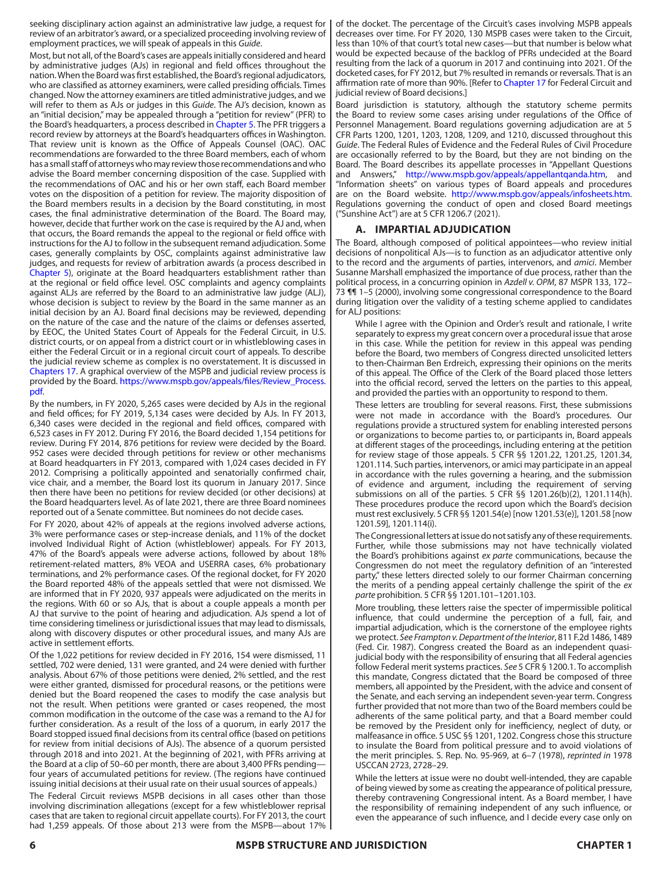seeking disciplinary action against an administrative law judge, a request for review of an arbitrator's award, or a specialized proceeding involving review of employment practices, we will speak of appeals in this *Guide*.

Most, but not all, of the Board's cases are appeals initially considered and heard by administrative judges (AJs) in regional and field offices throughout the nation. When the Board was first established, the Board's regional adjudicators, who are classified as attorney examiners, were called presiding officials. Times changed. Now the attorney examiners are titled administrative judges, and we will refer to them as AJs or judges in this *Guide*. The AJ's decision, known as an "initial decision," may be appealed through a "petition for review" (PFR) to the Board's headquarters, a process described in Chapter 5. The PFR triggers a record review by attorneys at the Board's headquarters offices in Washington. That review unit is known as the Office of Appeals Counsel (OAC). OAC recommendations are forwarded to the three Board members, each of whom has a small staff of attorneys who may review those recommendations and who advise the Board member concerning disposition of the case. Supplied with the recommendations of OAC and his or her own staff, each Board member votes on the disposition of a petition for review. The majority disposition of the Board members results in a decision by the Board constituting, in most cases, the final administrative determination of the Board. The Board may, however, decide that further work on the case is required by the AJ and, when that occurs, the Board remands the appeal to the regional or field office with instructions for the AJ to follow in the subsequent remand adjudication. Some cases, generally complaints by OSC, complaints against administrative law judges, and requests for review of arbitration awards (a process described in Chapter 5), originate at the Board headquarters establishment rather than at the regional or field office level. OSC complaints and agency complaints against ALJs are referred by the Board to an administrative law judge (ALJ), whose decision is subject to review by the Board in the same manner as an initial decision by an AJ. Board final decisions may be reviewed, depending on the nature of the case and the nature of the claims or defenses asserted, by EEOC, the United States Court of Appeals for the Federal Circuit, in U.S. district courts, or on appeal from a district court or in whistleblowing cases in either the Federal Circuit or in a regional circuit court of appeals. To describe the judicial review scheme as complex is no overstatement. It is discussed in Chapters 17. A graphical overview of the MSPB and judicial review process is provided by the Board. [https://www.mspb.gov/appeals/files/Review\\_Process.](https://www.mspb.gov/appeals/files/Review_Process.pdf) [pdf.](https://www.mspb.gov/appeals/files/Review_Process.pdf)

By the numbers, in FY 2020, 5,265 cases were decided by AJs in the regional and field offices; for FY 2019, 5,134 cases were decided by AJs. In FY 2013, 6,340 cases were decided in the regional and field offices, compared with 6,523 cases in FY 2012. During FY 2016, the Board decided 1,154 petitions for review. During FY 2014, 876 petitions for review were decided by the Board. 952 cases were decided through petitions for review or other mechanisms at Board headquarters in FY 2013, compared with 1,024 cases decided in FY 2012. Comprising a politically appointed and senatorially confirmed chair, vice chair, and a member, the Board lost its quorum in January 2017. Since then there have been no petitions for review decided (or other decisions) at the Board headquarters level. As of late 2021, there are three Board nominees reported out of a Senate committee. But nominees do not decide cases.

For FY 2020, about 42% of appeals at the regions involved adverse actions, 3% were performance cases or step-increase denials, and 11% of the docket involved Individual Right of Action (whistleblower) appeals. For FY 2013, 47% of the Board's appeals were adverse actions, followed by about 18% retirement-related matters, 8% VEOA and USERRA cases, 6% probationary terminations, and 2% performance cases. Of the regional docket, for FY 2020 the Board reported 48% of the appeals settled that were not dismissed. We are informed that in FY 2020, 937 appeals were adjudicated on the merits in the regions. With 60 or so AJs, that is about a couple appeals a month per AJ that survive to the point of hearing and adjudication. AJs spend a lot of time considering timeliness or jurisdictional issues that may lead to dismissals, along with discovery disputes or other procedural issues, and many AJs are active in settlement efforts.

Of the 1,022 petitions for review decided in FY 2016, 154 were dismissed, 11 settled, 702 were denied, 131 were granted, and 24 were denied with further analysis. About 67% of those petitions were denied, 2% settled, and the rest were either granted, dismissed for procedural reasons, or the petitions were denied but the Board reopened the cases to modify the case analysis but not the result. When petitions were granted or cases reopened, the most common modification in the outcome of the case was a remand to the AJ for further consideration. As a result of the loss of a quorum, in early 2017 the Board stopped issued final decisions from its central office (based on petitions for review from initial decisions of AJs). The absence of a quorum persisted through 2018 and into 2021. At the beginning of 2021, with PFRs arriving at the Board at a clip of 50–60 per month, there are about 3,400 PFRs pending four years of accumulated petitions for review. (The regions have continued issuing initial decisions at their usual rate on their usual sources of appeals.)

The Federal Circuit reviews MSPB decisions in all cases other than those involving discrimination allegations (except for a few whistleblower reprisal cases that are taken to regional circuit appellate courts). For FY 2013, the court had 1,259 appeals. Of those about 213 were from the MSPB—about 17%

of the docket. The percentage of the Circuit's cases involving MSPB appeals decreases over time. For FY 2020, 130 MSPB cases were taken to the Circuit, less than 10% of that court's total new cases—but that number is below what would be expected because of the backlog of PFRs undecided at the Board resulting from the lack of a quorum in 2017 and continuing into 2021. Of the docketed cases, for FY 2012, but 7% resulted in remands or reversals. That is an affirmation rate of more than 90%. [Refer to Chapter 17 for Federal Circuit and judicial review of Board decisions.]

Board jurisdiction is statutory, although the statutory scheme permits the Board to review some cases arising under regulations of the Office of Personnel Management. Board regulations governing adjudication are at 5 CFR Parts 1200, 1201, 1203, 1208, 1209, and 1210, discussed throughout this *Guide*. The Federal Rules of Evidence and the Federal Rules of Civil Procedure are occasionally referred to by the Board, but they are not binding on the Board. The Board describes its appellate processes in "Appellant Questions and Answers," [http://www.mspb.gov/appeals/appellantqanda.htm,](https://www.mspb.gov/appeals/appellantqanda.htm) and "Information sheets" on various types of Board appeals and procedures are on the Board website. <http://www.mspb.gov/appeals/infosheets.htm>. Regulations governing the conduct of open and closed Board meetings ("Sunshine Act") are at 5 CFR 1206.7 (2021).

# **A. IMPARTIAL ADJUDICATION**

The Board, although composed of political appointees—who review initial decisions of nonpolitical AJs—is to function as an adjudicator attentive only to the record and the arguments of parties, intervenors, and *amici*. Member Susanne Marshall emphasized the importance of due process, rather than the political process, in a concurring opinion in *Azdell v. OPM*, 87 MSPR 133, 172– 73 ¶¶ 1–5 (2000), involving some congressional correspondence to the Board during litigation over the validity of a testing scheme applied to candidates for ALJ positions:

While I agree with the Opinion and Order's result and rationale, I write separately to express my great concern over a procedural issue that arose in this case. While the petition for review in this appeal was pending before the Board, two members of Congress directed unsolicited letters to then-Chairman Ben Erdreich, expressing their opinions on the merits of this appeal. The Office of the Clerk of the Board placed those letters into the official record, served the letters on the parties to this appeal, and provided the parties with an opportunity to respond to them.

These letters are troubling for several reasons. First, these submissions were not made in accordance with the Board's procedures. Our regulations provide a structured system for enabling interested persons or organizations to become parties to, or participants in, Board appeals at different stages of the proceedings, including entering at the petition for review stage of those appeals. 5 CFR §§ 1201.22, 1201.25, 1201.34, 1201.114. Such parties, intervenors, or amici may participate in an appeal in accordance with the rules governing a hearing, and the submission of evidence and argument, including the requirement of serving submissions on all of the parties. 5 CFR §§ 1201.26(b)(2), 1201.114(h). These procedures produce the record upon which the Board's decision must rest exclusively. 5 CFR §§ 1201.54(e) [now 1201.53(e)], 1201.58 [now 1201.59], 1201.114(i).

The Congressional letters at issue do not satisfy any of these requirements. Further, while those submissions may not have technically violated the Board's prohibitions against *ex parte* communications, because the Congressmen do not meet the regulatory definition of an "interested party," these letters directed solely to our former Chairman concerning the merits of a pending appeal certainly challenge the spirit of the *ex parte* prohibition. 5 CFR §§ 1201.101–1201.103.

More troubling, these letters raise the specter of impermissible political influence, that could undermine the perception of a full, fair, and impartial adjudication, which is the cornerstone of the employee rights we protect. *See Frampton v. Department of the Interior*, 811 F.2d 1486, 1489 (Fed. Cir. 1987). Congress created the Board as an independent quasijudicial body with the responsibility of ensuring that all Federal agencies follow Federal merit systems practices. *See* 5 CFR § 1200.1. To accomplish this mandate, Congress dictated that the Board be composed of three members, all appointed by the President, with the advice and consent of the Senate, and each serving an independent seven-year term. Congress further provided that not more than two of the Board members could be adherents of the same political party, and that a Board member could be removed by the President only for inefficiency, neglect of duty, or malfeasance in office. 5 USC §§ 1201, 1202. Congress chose this structure to insulate the Board from political pressure and to avoid violations of the merit principles. S. Rep. No. 95-969, at 6–7 (1978), *reprinted in* 1978 USCCAN 2723, 2728–29.

While the letters at issue were no doubt well-intended, they are capable of being viewed by some as creating the appearance of political pressure, thereby contravening Congressional intent. As a Board member, I have the responsibility of remaining independent of any such influence, or even the appearance of such influence, and I decide every case only on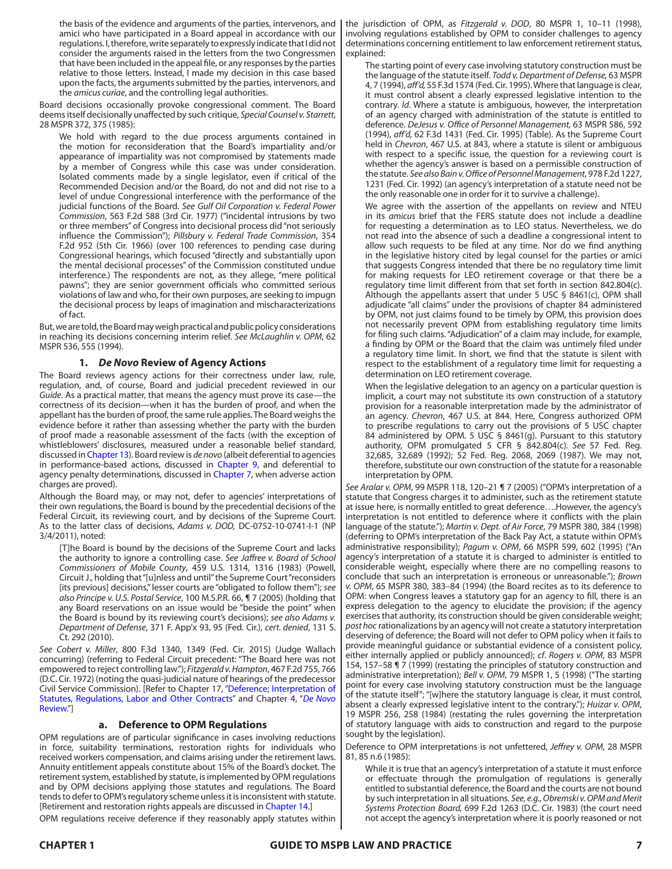the basis of the evidence and arguments of the parties, intervenors, and amici who have participated in a Board appeal in accordance with our regulations. I, therefore, write separately to expressly indicate that I did not consider the arguments raised in the letters from the two Congressmen that have been included in the appeal file, or any responses by the parties relative to those letters. Instead, I made my decision in this case based upon the facts, the arguments submitted by the parties, intervenors, and the *amicus curiae*, and the controlling legal authorities.

Board decisions occasionally provoke congressional comment. The Board deems itself decisionally unaffected by such critique, *Special Counsel v. Starrett*, 28 MSPR 372, 375 (1985):

We hold with regard to the due process arguments contained in the motion for reconsideration that the Board's impartiality and/or appearance of impartiality was not compromised by statements made by a member of Congress while this case was under consideration. Isolated comments made by a single legislator, even if critical of the Recommended Decision and/or the Board, do not and did not rise to a level of undue Congressional interference with the performance of the judicial functions of the Board. *See Gulf Oil Corporation v. Federal Power Commission*, 563 F.2d 588 (3rd Cir. 1977) ("incidental intrusions by two or three members" of Congress into decisional process did "not seriously influence the Commission"); *Pillsbury v. Federal Trade Commission*, 354 F.2d 952 (5th Cir. 1966) (over 100 references to pending case during Congressional hearings, which focused "directly and substantially upon the mental decisional processes" of the Commission constituted undue interference.) The respondents are not, as they allege, "mere political pawns"; they are senior government officials who committed serious violations of law and who, for their own purposes, are seeking to impugn the decisional process by leaps of imagination and mischaracterizations of fact.

But, we are told, the Board may weigh practical and public policy considerations in reaching its decisions concerning interim relief. *See McLaughlin v. OPM*, 62 MSPR 536, 555 (1994).

## **1.** *De Novo* **Review of Agency Actions**

The Board reviews agency actions for their correctness under law, rule, regulation, and, of course, Board and judicial precedent reviewed in our *Guide*. As a practical matter, that means the agency must prove its case—the correctness of its decision—when it has the burden of proof, and when the appellant has the burden of proof, the same rule applies. The Board weighs the evidence before it rather than assessing whether the party with the burden of proof made a reasonable assessment of the facts (with the exception of whistleblowers' disclosures, measured under a reasonable belief standard, discussed in Chapter 13). Board review is *de novo* (albeit deferential to agencies in performance-based actions, discussed in Chapter 9, and deferential to agency penalty determinations, discussed in Chapter 7, when adverse action charges are proved).

Although the Board may, or may not, defer to agencies' interpretations of their own regulations, the Board is bound by the precedential decisions of the Federal Circuit, its reviewing court, and by decisions of the Supreme Court. As to the latter class of decisions, *Adams v. DOD,* DC-0752-10-0741-I-1 (NP 3/4/2011), noted:

[T]he Board is bound by the decisions of the Supreme Court and lacks the authority to ignore a controlling case. *See Jaffree v. Board of School Commissioners of Mobile County*, 459 U.S. 1314, 1316 (1983) (Powell, Circuit J., holding that "[u]nless and until" the Supreme Court "reconsiders [its previous] decisions," lesser courts are "obligated to follow them"); *see also Principe v. U.S. Postal Service*, 100 M.S.P.R. 66, ¶ 7 (2005) (holding that any Board reservations on an issue would be "beside the point" when the Board is bound by its reviewing court's decisions); *see also Adams v. Department of Defense*, 371 F. App'x 93, 95 (Fed. Cir.), *cert. denied*, 131 S. Ct. 292 (2010).

*See Cobert v. Miller*, 800 F.3d 1340, 1349 (Fed. Cir. 2015) (Judge Wallach concurring) (referring to Federal Circuit precedent: "The Board here was not empowered to reject controlling law."); *Fitzgerald v. Hampton*, 467 F.2d 755, 766 (D.C. Cir. 1972) (noting the quasi-judicial nature of hearings of the predecessor Civil Service Commission). [Refer to Chapter 17, "Deference; Interpretation of Statutes, Regulations, Labor and Other Contracts" and Chapter 4, "*De Novo*  Review."]

## **a. Deference to OPM Regulations**

OPM regulations are of particular significance in cases involving reductions in force, suitability terminations, restoration rights for individuals who received workers compensation, and claims arising under the retirement laws. Annuity entitlement appeals constitute about 15% of the Board's docket. The retirement system, established by statute, is implemented by OPM regulations and by OPM decisions applying those statutes and regulations. The Board tends to defer to OPM's regulatory scheme unless it is inconsistent with statute. [Retirement and restoration rights appeals are discussed in Chapter 14.]

OPM regulations receive deference if they reasonably apply statutes within

the jurisdiction of OPM, as *Fitzgerald v. DOD*, 80 MSPR 1, 10–11 (1998), involving regulations established by OPM to consider challenges to agency determinations concerning entitlement to law enforcement retirement status, explained:

The starting point of every case involving statutory construction must be the language of the statute itself. *Todd v. Department of Defense,* 63 MSPR 4, 7 (1994), *aff'd,* 55 F.3d 1574 (Fed. Cir. 1995). Where that language is clear, it must control absent a clearly expressed legislative intention to the contrary*. Id*. Where a statute is ambiguous, however, the interpretation of an agency charged with administration of the statute is entitled to deference. *DeJesus v. Office of Personnel Management,* 63 MSPR 586, 592 (1994), *aff'd,* 62 F.3d 1431 (Fed. Cir. 1995) (Table). As the Supreme Court held in *Chevron*, 467 U.S. at 843, where a statute is silent or ambiguous with respect to a specific issue, the question for a reviewing court is whether the agency's answer is based on a permissible construction of the statute. *See also Bain v. Office of Personnel Management*, 978 F.2d 1227, 1231 (Fed. Cir. 1992) (an agency's interpretation of a statute need not be the only reasonable one in order for it to survive a challenge).

We agree with the assertion of the appellants on review and NTEU in its *amicus* brief that the FERS statute does not include a deadline for requesting a determination as to LEO status. Nevertheless, we do not read into the absence of such a deadline a congressional intent to allow such requests to be filed at any time. Nor do we find anything in the legislative history cited by legal counsel for the parties or amici that suggests Congress intended that there be no regulatory time limit for making requests for LEO retirement coverage or that there be a regulatory time limit different from that set forth in section 842.804(c). Although the appellants assert that under 5 USC § 8461(c), OPM shall adiudicate "all claims" under the provisions of chapter 84 administered by OPM, not just claims found to be timely by OPM, this provision does not necessarily prevent OPM from establishing regulatory time limits for filing such claims. "Adjudication" of a claim may include, for example, a finding by OPM or the Board that the claim was untimely filed under a regulatory time limit. In short, we find that the statute is silent with respect to the establishment of a regulatory time limit for requesting a determination on LEO retirement coverage.

When the legislative delegation to an agency on a particular question is implicit, a court may not substitute its own construction of a statutory provision for a reasonable interpretation made by the administrator of an agency. *Chevron*, 467 U.S. at 844. Here, Congress authorized OPM to prescribe regulations to carry out the provisions of 5 USC chapter 84 administered by OPM. 5 USC § 8461(g). Pursuant to this statutory authority, OPM promulgated 5 CFR § 842.804(c)*. See* 57 Fed. Reg. 32,685, 32,689 (1992); 52 Fed. Reg. 2068, 2069 (1987). We may not, therefore, substitute our own construction of the statute for a reasonable interpretation by OPM.

*See Aralar v. OPM*, 99 MSPR 118, 120–21 ¶ 7 (2005) ("OPM's interpretation of a statute that Congress charges it to administer, such as the retirement statute at issue here, is normally entitled to great deference….However, the agency's interpretation is not entitled to deference where it conflicts with the plain language of the statute."); *Martin v. Dept. of Air Force*, 79 MSPR 380, 384 (1998) (deferring to OPM's interpretation of the Back Pay Act, a statute within OPM's administrative responsibility); *Pagum v. OPM*, 66 MSPR 599, 602 (1995) ("An agency's interpretation of a statute it is charged to administer is entitled to considerable weight, especially where there are no compelling reasons to conclude that such an interpretation is erroneous or unreasonable."); *Brown v. OPM*, 65 MSPR 380, 383–84 (1994) (the Board recites as to its deference to OPM: when Congress leaves a statutory gap for an agency to fill, there is an express delegation to the agency to elucidate the provision; if the agency exercises that authority, its construction should be given considerable weight; *post hoc* rationalizations by an agency will not create a statutory interpretation deserving of deference; the Board will not defer to OPM policy when it fails to provide meaningful guidance or substantial evidence of a consistent policy, either internally applied or publicly announced); *cf*. *Rogers v. OPM*, 83 MSPR 154, 157–58 ¶ 7 (1999) (restating the principles of statutory construction and administrative interpretation); *Bell v. OPM*, 79 MSPR 1, 5 (1998) ("The starting point for every case involving statutory construction must be the language of the statute itself"; "[w]here the statutory language is clear, it must control, absent a clearly expressed legislative intent to the contrary."); *Huizar v. OPM*, 19 MSPR 256, 258 (1984) (restating the rules governing the interpretation of statutory language with aids to construction and regard to the purpose sought by the legislation).

Deference to OPM interpretations is not unfettered, *Jeffrey v. OPM*, 28 MSPR 81, 85 n.6 (1985):

While it is true that an agency's interpretation of a statute it must enforce or effectuate through the promulgation of regulations is generally entitled to substantial deference, the Board and the courts are not bound by such interpretation in all situations*. See, e.g., Obremski v. OPM and Merit Systems Protection Board,* 699 F.2d 1263 (D.C. Cir. 1983) (the court need not accept the agency's interpretation where it is poorly reasoned or not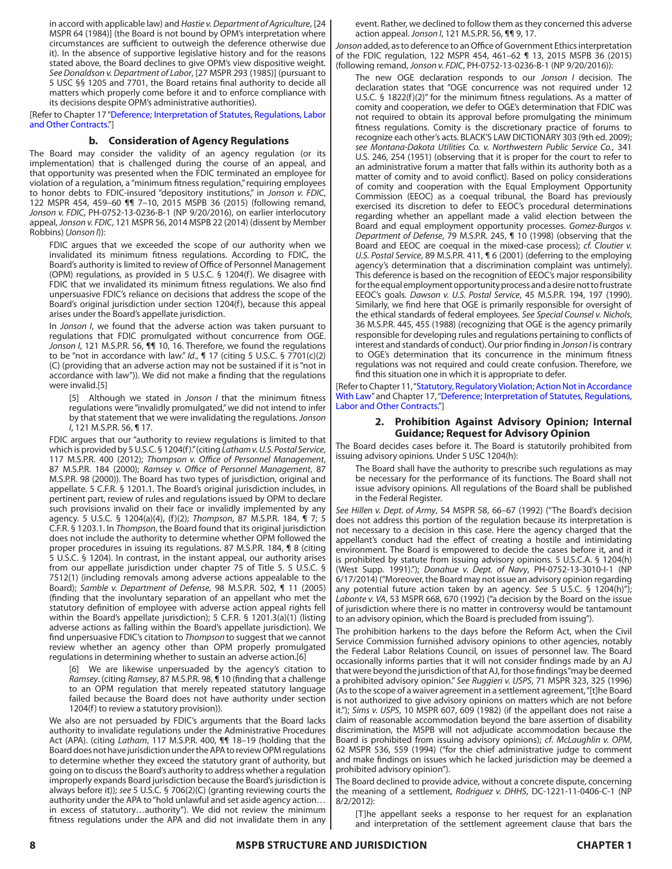in accord with applicable law) and *Hastie v. Department of Agriculture*, [24 MSPR 64 (1984)] (the Board is not bound by OPM's interpretation where circumstances are sufficient to outweigh the deference otherwise due it). In the absence of supportive legislative history and for the reasons stated above, the Board declines to give OPM's view dispositive weight*. See Donaldson v. Department of Labor*, [27 MSPR 293 (1985)] (pursuant to 5 USC §§ 1205 and 7701, the Board retains final authority to decide all matters which properly come before it and to enforce compliance with its decisions despite OPM's administrative authorities).

[Refer to Chapter 17 "Deference; Interpretation of Statutes, Regulations, Labor and Other Contracts."]

# **b. Consideration of Agency Regulations**

The Board may consider the validity of an agency regulation (or its implementation) that is challenged during the course of an appeal, and that opportunity was presented when the FDIC terminated an employee for violation of a regulation, a "minimum fitness regulation," requiring employees to honor debts to FDIC-insured "depository institutions," in *Jonson v. FDIC*, 122 MSPR 454, 459–60 ¶¶ 7–10, 2015 MSPB 36 (2015) (following remand, *Jonson v. FDIC*, PH-0752-13-0236-B-1 (NP 9/20/2016), on earlier interlocutory appeal, *Jonson v. FDIC*, 121 MSPR 56, 2014 MSPB 22 (2014) (dissent by Member Robbins) (*Jonson I*)):

FDIC argues that we exceeded the scope of our authority when we invalidated its minimum fitness regulations. According to FDIC, the Board's authority is limited to review of Office of Personnel Management (OPM) regulations, as provided in 5 U.S.C. § 1204(f). We disagree with FDIC that we invalidated its minimum fitness regulations. We also find unpersuasive FDIC's reliance on decisions that address the scope of the Board's original jurisdiction under section 1204(f), because this appeal arises under the Board's appellate jurisdiction.

In *Jonson I*, we found that the adverse action was taken pursuant to regulations that FDIC promulgated without concurrence from OGE. *Jonson I*, 121 M.S.P.R. 56, ¶¶ 10, 16. Therefore, we found the regulations to be "not in accordance with law." *Id.*, ¶ 17 (citing 5 U.S.C. § 7701(c)(2) (C) (providing that an adverse action may not be sustained if it is "not in accordance with law")). We did not make a finding that the regulations were invalid.[5]

[5] Although we stated in *Jonson I* that the minimum fitness regulations were "invalidly promulgated," we did not intend to infer by that statement that we were invalidating the regulations. *Jonson I*, 121 M.S.P.R. 56, ¶ 17.

FDIC argues that our "authority to review regulations is limited to that which is provided by 5 U.S.C. § 1204(f)." (citing *Latham v. U.S. Postal Service*, 117 M.S.P.R. 400 (2012); *Thompson v. Office of Personnel Management*, 87 M.S.P.R. 184 (2000); *Ramsey v. Office of Personnel Management*, 87 M.S.P.R. 98 (2000)). The Board has two types of jurisdiction, original and appellate. 5 C.F.R. § 1201.1. The Board's original jurisdiction includes, in pertinent part, review of rules and regulations issued by OPM to declare such provisions invalid on their face or invalidly implemented by any agency. 5 U.S.C. § 1204(a)(4), (f)(2); *Thompson*, 87 M.S.P.R. 184, ¶ 7; 5 C.F.R. § 1203.1. In *Thompson*, the Board found that its original jurisdiction does not include the authority to determine whether OPM followed the proper procedures in issuing its regulations. 87 M.S.P.R. 184, ¶ 8 (citing 5 U.S.C. § 1204). In contrast, in the instant appeal, our authority arises from our appellate jurisdiction under chapter 75 of Title 5. 5 U.S.C. § 7512(1) (including removals among adverse actions appealable to the Board); *Samble v. Department of Defense*, 98 M.S.P.R. 502, ¶ 11 (2005) (finding that the involuntary separation of an appellant who met the statutory definition of employee with adverse action appeal rights fell within the Board's appellate jurisdiction); 5 C.F.R. § 1201.3(a)(1) (listing adverse actions as falling within the Board's appellate jurisdiction). We find unpersuasive FDIC's citation to *Thompson* to suggest that we cannot review whether an agency other than OPM properly promulgated regulations in determining whether to sustain an adverse action.[6]

[6] We are likewise unpersuaded by the agency's citation to *Ramsey*. (citing *Ramsey*, 87 M.S.P.R. 98, ¶ 10 (finding that a challenge to an OPM regulation that merely repeated statutory language failed because the Board does not have authority under section 1204(f) to review a statutory provision)).

We also are not persuaded by FDIC's arguments that the Board lacks authority to invalidate regulations under the Administrative Procedures Act (APA). (citing *Latham*, 117 M.S.P.R. 400, ¶¶ 18–19 (holding that the Board does not have jurisdiction under the APA to review OPM regulations to determine whether they exceed the statutory grant of authority, but going on to discuss the Board's authority to address whether a regulation improperly expands Board jurisdiction because the Board's jurisdiction is always before it)); *see* 5 U.S.C. § 706(2)(C) (granting reviewing courts the authority under the APA to "hold unlawful and set aside agency action… in excess of statutory…authority"). We did not review the minimum fitness regulations under the APA and did not invalidate them in any event. Rather, we declined to follow them as they concerned this adverse action appeal. *Jonson I*, 121 M.S.P.R. 56, ¶¶ 9, 17.

*Jonson* added, as to deference to an Office of Government Ethics interpretation of the FDIC regulation, 122 MSPR 454, 461–62 ¶ 13, 2015 MSPB 36 (2015) (following remand, *Jonson v. FDIC*, PH-0752-13-0236-B-1 (NP 9/20/2016)):

The new OGE declaration responds to our *Jonson I* decision. The declaration states that "OGE concurrence was not required under 12 U.S.C. § 1822(f)(2)" for the minimum fitness regulations. As a matter of comity and cooperation, we defer to OGE's determination that FDIC was not required to obtain its approval before promulgating the minimum fitness regulations. Comity is the discretionary practice of forums to recognize each other's acts. BLACK'S LAW DICTIONARY 303 (9th ed. 2009); *see Montana-Dakota Utilities Co. v. Northwestern Public Service Co.*, 341 U.S. 246, 254 (1951) (observing that it is proper for the court to refer to an administrative forum a matter that falls within its authority both as a matter of comity and to avoid conflict). Based on policy considerations of comity and cooperation with the Equal Employment Opportunity Commission (EEOC) as a coequal tribunal, the Board has previously exercised its discretion to defer to EEOC's procedural determinations regarding whether an appellant made a valid election between the Board and equal employment opportunity processes. *Gomez-Burgos v. Department of Defense*, 79 M.S.P.R. 245, ¶ 10 (1998) (observing that the Board and EEOC are coequal in the mixed-case process); *cf. Cloutier v. U.S. Postal Service*, 89 M.S.P.R. 411, ¶ 6 (2001) (deferring to the employing agency's determination that a discrimination complaint was untimely). This deference is based on the recognition of EEOC's major responsibility for the equal employment opportunity process and a desire not to frustrate EEOC's goals. *Dawson v. U.S. Postal Service*, 45 M.S.P.R. 194, 197 (1990). Similarly, we find here that OGE is primarily responsible for oversight of the ethical standards of federal employees. *See Special Counsel v. Nichols*, 36 M.S.P.R. 445, 455 (1988) (recognizing that OGE is the agency primarily responsible for developing rules and regulations pertaining to conflicts of interest and standards of conduct). Our prior finding in *Jonson I* is contrary to OGE's determination that its concurrence in the minimum fitness regulations was not required and could create confusion. Therefore, we find this situation one in which it is appropriate to defer.

[Refer to Chapter 11, "Statutory, Regulatory Violation; Action Not in Accordance With Law" and Chapter 17, "Deference; Interpretation of Statutes, Regulations, Labor and Other Contracts."]

## **2. Prohibition Against Advisory Opinion; Internal Guidance; Request for Advisory Opinion**

The Board decides cases before it. The Board is statutorily prohibited from issuing advisory opinions. Under 5 USC 1204(h):

The Board shall have the authority to prescribe such regulations as may be necessary for the performance of its functions. The Board shall not issue advisory opinions. All regulations of the Board shall be published in the Federal Register.

*See Hillen v. Dept. of Army*, 54 MSPR 58, 66–67 (1992) ("The Board's decision does not address this portion of the regulation because its interpretation is not necessary to a decision in this case. Here the agency charged that the appellant's conduct had the effect of creating a hostile and intimidating environment. The Board is empowered to decide the cases before it, and it is prohibited by statute from issuing advisory opinions. 5 U.S.C.A. § 1204(h) (West Supp. 1991)."); *Donahue v. Dept. of Navy*, PH-0752-13-3010-I-1 (NP 6/17/2014) ("Moreover, the Board may not issue an advisory opinion regarding any potential future action taken by an agency. *See* 5 U.S.C. § 1204(h)"); *Labonte v. VA*, 53 MSPR 668, 670 (1992) ("a decision by the Board on the issue of jurisdiction where there is no matter in controversy would be tantamount to an advisory opinion, which the Board is precluded from issuing").

The prohibition harkens to the days before the Reform Act, when the Civil Service Commission furnished advisory opinions to other agencies, notably the Federal Labor Relations Council, on issues of personnel law. The Board occasionally informs parties that it will not consider findings made by an AJ that were beyond the jurisdiction of that AJ, for those findings "may be deemed a prohibited advisory opinion." *See Ruggieri v. USPS*, 71 MSPR 323, 325 (1996) (As to the scope of a waiver agreement in a settlement agreement, "[t]he Board is not authorized to give advisory opinions on matters which are not before it."); *Sims v. USPS*, 10 MSPR 607, 609 (1982) (if the appellant does not raise a claim of reasonable accommodation beyond the bare assertion of disability discrimination, the MSPB will not adjudicate accommodation because the Board is prohibited from issuing advisory opinions); *cf*. *McLaughlin v. OPM*, 62 MSPR 536, 559 (1994) ("for the chief administrative judge to comment and make findings on issues which he lacked jurisdiction may be deemed a prohibited advisory opinion").

The Board declined to provide advice, without a concrete dispute, concerning the meaning of a settlement, *Rodriguez v. DHHS*, DC-1221-11-0406-C-1 (NP 8/2/2012):

[T]he appellant seeks a response to her request for an explanation and interpretation of the settlement agreement clause that bars the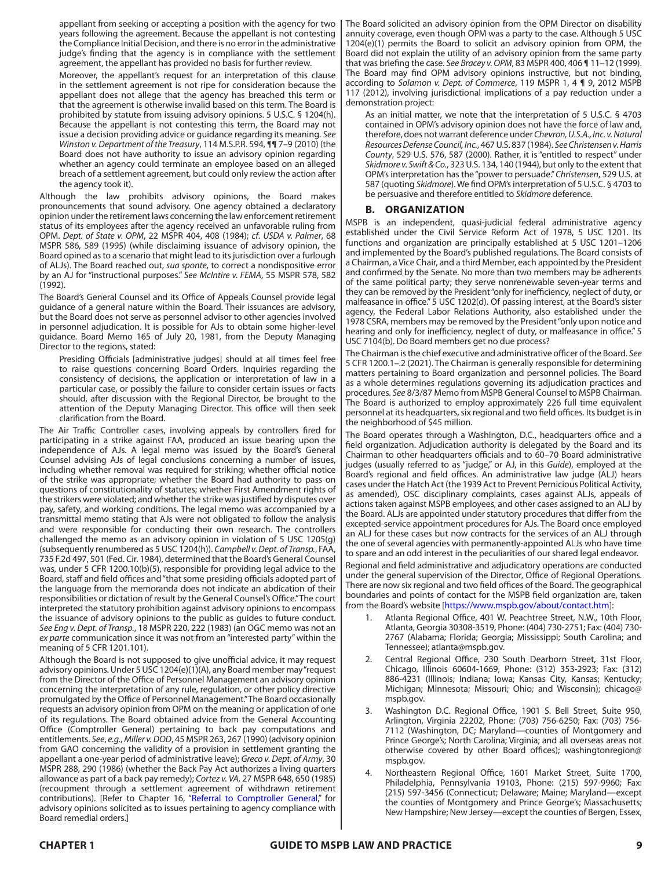appellant from seeking or accepting a position with the agency for two years following the agreement. Because the appellant is not contesting the Compliance Initial Decision, and there is no error in the administrative judge's finding that the agency is in compliance with the settlement agreement, the appellant has provided no basis for further review.

Moreover, the appellant's request for an interpretation of this clause in the settlement agreement is not ripe for consideration because the appellant does not allege that the agency has breached this term or that the agreement is otherwise invalid based on this term. The Board is prohibited by statute from issuing advisory opinions. 5 U.S.C. § 1204(h). Because the appellant is not contesting this term, the Board may not issue a decision providing advice or guidance regarding its meaning. *See Winston v. Department of the Treasury*, 114 M.S.P.R. 594, ¶¶ 7–9 (2010) (the Board does not have authority to issue an advisory opinion regarding whether an agency could terminate an employee based on an alleged breach of a settlement agreement, but could only review the action after the agency took it).

Although the law prohibits advisory opinions, the Board makes pronouncements that sound advisory. One agency obtained a declaratory opinion under the retirement laws concerning the law enforcement retirement status of its employees after the agency received an unfavorable ruling from OPM. *Dept. of State v. OPM*, 22 MSPR 404, 408 (1984); *cf*. *USDA v. Palmer*, 68 MSPR 586, 589 (1995) (while disclaiming issuance of advisory opinion, the Board opined as to a scenario that might lead to its jurisdiction over a furlough of ALJs). The Board reached out, *sua sponte*, to correct a nondispositive error by an AJ for "instructional purposes." *See McIntire v. FEMA*, 55 MSPR 578, 582 (1992).

The Board's General Counsel and its Office of Appeals Counsel provide legal guidance of a general nature within the Board. Their issuances are advisory, but the Board does not serve as personnel advisor to other agencies involved in personnel adjudication. It is possible for AJs to obtain some higher-level guidance. Board Memo 165 of July 20, 1981, from the Deputy Managing Director to the regions, stated:

Presiding Officials [administrative judges] should at all times feel free to raise questions concerning Board Orders. Inquiries regarding the consistency of decisions, the application or interpretation of law in a particular case, or possibly the failure to consider certain issues or facts should, after discussion with the Regional Director, be brought to the attention of the Deputy Managing Director. This office will then seek clarification from the Board.

The Air Traffic Controller cases, involving appeals by controllers fired for participating in a strike against FAA, produced an issue bearing upon the independence of AJs. A legal memo was issued by the Board's General Counsel advising AJs of legal conclusions concerning a number of issues, including whether removal was required for striking; whether official notice of the strike was appropriate; whether the Board had authority to pass on questions of constitutionality of statutes; whether First Amendment rights of the strikers were violated; and whether the strike was justified by disputes over pay, safety, and working conditions. The legal memo was accompanied by a transmittal memo stating that AJs were not obligated to follow the analysis and were responsible for conducting their own research. The controllers challenged the memo as an advisory opinion in violation of 5 USC 1205(g) (subsequently renumbered as 5 USC 1204(h)). *Campbell v. Dept. of Transp.*, FAA, 735 F.2d 497, 501 (Fed. Cir. 1984), determined that the Board's General Counsel was, under 5 CFR 1200.10(b)(5), responsible for providing legal advice to the Board, staff and field offices and "that some presiding officials adopted part of the language from the memoranda does not indicate an abdication of their responsibilities or dictation of result by the General Counsel's Office." The court interpreted the statutory prohibition against advisory opinions to encompass the issuance of advisory opinions to the public as guides to future conduct. *See Eng v. Dept. of Transp.*, 18 MSPR 220, 222 (1983) (an OGC memo was not an *ex parte* communication since it was not from an "interested party" within the meaning of 5 CFR 1201.101).

Although the Board is not supposed to give unofficial advice, it may request advisory opinions. Under 5 USC 1204(e)(1)(A), any Board member may "request from the Director of the Office of Personnel Management an advisory opinion concerning the interpretation of any rule, regulation, or other policy directive promulgated by the Office of Personnel Management." The Board occasionally requests an advisory opinion from OPM on the meaning or application of one of its regulations. The Board obtained advice from the General Accounting Office (Comptroller General) pertaining to back pay computations and entitlements. *See*, *e.g.*, *Miller v. DOD*, 45 MSPR 263, 267 (1990) (advisory opinion from GAO concerning the validity of a provision in settlement granting the appellant a one-year period of administrative leave); *Greco v. Dept. of Army*, 30 MSPR 288, 290 (1986) (whether the Back Pay Act authorizes a living quarters allowance as part of a back pay remedy); *Cortez v. VA*, 27 MSPR 648, 650 (1985) (recoupment through a settlement agreement of withdrawn retirement contributions). [Refer to Chapter 16, "Referral to Comptroller General," for advisory opinions solicited as to issues pertaining to agency compliance with Board remedial orders.]

The Board solicited an advisory opinion from the OPM Director on disability annuity coverage, even though OPM was a party to the case. Although 5 USC 1204(e)(1) permits the Board to solicit an advisory opinion from OPM, the Board did not explain the utility of an advisory opinion from the same party that was briefing the case. *See Bracey v. OPM*, 83 MSPR 400, 406 ¶ 11–12 (1999). The Board may find OPM advisory opinions instructive, but not binding, according to *Solamon v. Dept. of Commerce*, 119 MSPR 1, 4 ¶ 9, 2012 MSPB 117 (2012), involving jurisdictional implications of a pay reduction under a demonstration project:

As an initial matter, we note that the interpretation of 5 U.S.C. § 4703 contained in OPM's advisory opinion does not have the force of law and, therefore, does not warrant deference under *Chevron, U.S.A., Inc. v. Natural Resources Defense Council, Inc.*, 467 U.S. 837 (1984). *See Christensen v. Harris County*, 529 U.S. 576, 587 (2000). Rather, it is "entitled to respect" under *Skidmore v. Swift & Co.*, 323 U.S. 134, 140 (1944), but only to the extent that OPM's interpretation has the "power to persuade." *Christensen*, 529 U.S. at 587 (quoting *Skidmore*). We find OPM's interpretation of 5 U.S.C. § 4703 to be persuasive and therefore entitled to *Skidmore* deference.

# **B. ORGANIZATION**

MSPB is an independent, quasi-judicial federal administrative agency established under the Civil Service Reform Act of 1978, 5 USC 1201. Its functions and organization are principally established at 5 USC 1201–1206 and implemented by the Board's published regulations. The Board consists of a Chairman, a Vice Chair, and a third Member, each appointed by the President and confirmed by the Senate. No more than two members may be adherents of the same political party; they serve nonrenewable seven-year terms and they can be removed by the President "only for inefficiency, neglect of duty, or malfeasance in office." 5 USC 1202(d). Of passing interest, at the Board's sister agency, the Federal Labor Relations Authority, also established under the 1978 CSRA, members may be removed by the President "only upon notice and hearing and only for inefficiency, neglect of duty, or malfeasance in office." 5 USC 7104(b). Do Board members get no due process?

The Chairman is the chief executive and administrative officer of the Board. *See* 5 CFR 1200.1–.2 (2021). The Chairman is generally responsible for determining matters pertaining to Board organization and personnel policies. The Board as a whole determines regulations governing its adjudication practices and procedures. *See* 8/3/87 Memo from MSPB General Counsel to MSPB Chairman. The Board is authorized to employ approximately 226 full time equivalent personnel at its headquarters, six regional and two field offices. Its budget is in the neighborhood of \$45 million.

The Board operates through a Washington, D.C., headquarters office and a field organization. Adjudication authority is delegated by the Board and its Chairman to other headquarters officials and to 60–70 Board administrative judges (usually referred to as "judge," or AJ, in this *Guide*), employed at the Board's regional and field offices. An administrative law judge (ALJ) hears cases under the Hatch Act (the 1939 Act to Prevent Pernicious Political Activity, as amended), OSC disciplinary complaints, cases against ALJs, appeals of actions taken against MSPB employees, and other cases assigned to an ALJ by the Board. ALJs are appointed under statutory procedures that differ from the excepted-service appointment procedures for AJs. The Board once employed an ALJ for these cases but now contracts for the services of an ALJ through the one of several agencies with permanently-appointed ALJs who have time to spare and an odd interest in the peculiarities of our shared legal endeavor.

Regional and field administrative and adjudicatory operations are conducted under the general supervision of the Director, Office of Regional Operations. There are now six regional and two field offices of the Board. The geographical boundaries and points of contact for the MSPB field organization are, taken from the Board's website [\[https://www.mspb.gov/about/contact.htm](https://www.mspb.gov/about/contact.htm)]:

- Atlanta Regional Office, 401 W. Peachtree Street, N.W., 10th Floor, Atlanta, Georgia 30308-3519, Phone: (404) 730-2751; Fax: (404) 730- 2767 (Alabama; Florida; Georgia; Mississippi; South Carolina; and Tennessee); atlanta@mspb.gov.
- 2. Central Regional Office, 230 South Dearborn Street, 31st Floor, Chicago, Illinois 60604-1669, Phone: (312) 353-2923; Fax: (312) 886-4231 (Illinois; Indiana; Iowa; Kansas City, Kansas; Kentucky; Michigan; Minnesota; Missouri; Ohio; and Wisconsin); chicago@ mspb.gov.
- 3. Washington D.C. Regional Office, 1901 S. Bell Street, Suite 950, Arlington, Virginia 22202, Phone: (703) 756-6250; Fax: (703) 756- 7112 (Washington, DC; Maryland—counties of Montgomery and Prince George's; North Carolina; Virginia; and all overseas areas not otherwise covered by other Board offices); washingtonregion@ mspb.gov.
- 4. Northeastern Regional Office, 1601 Market Street, Suite 1700, Philadelphia, Pennsylvania 19103, Phone: (215) 597-9960; Fax: (215) 597-3456 (Connecticut; Delaware; Maine; Maryland—except the counties of Montgomery and Prince George's; Massachusetts; New Hampshire; New Jersey—except the counties of Bergen, Essex,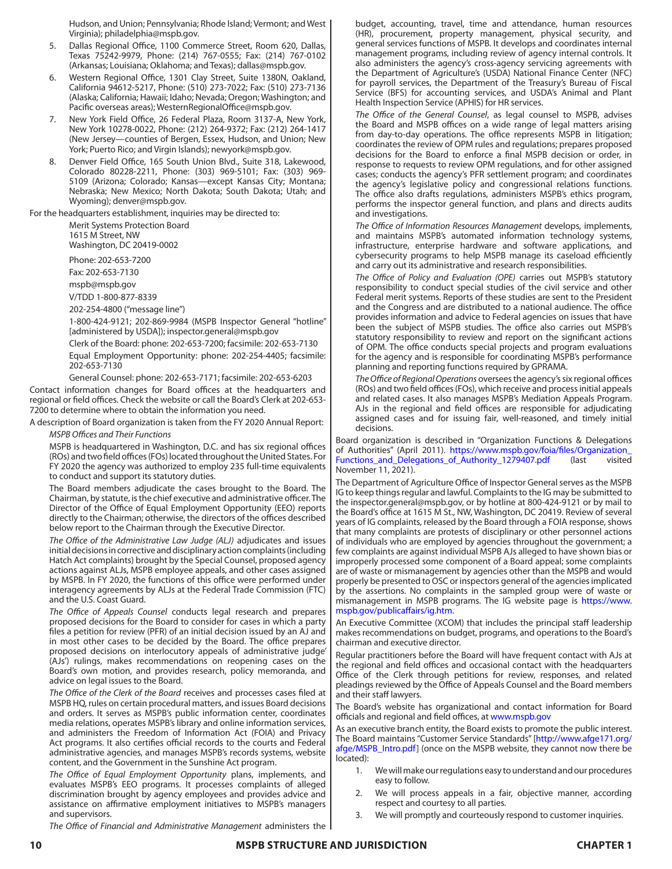Hudson, and Union; Pennsylvania; Rhode Island; Vermont; and West Virginia); philadelphia@mspb.gov.

- 5. Dallas Regional Office, 1100 Commerce Street, Room 620, Dallas, Texas 75242-9979, Phone: (214) 767-0555; Fax: (214) 767-0102 (Arkansas; Louisiana; Oklahoma; and Texas); dallas@mspb.gov.
- 6. Western Regional Office, 1301 Clay Street, Suite 1380N, Oakland, California 94612-5217, Phone: (510) 273-7022; Fax: (510) 273-7136 (Alaska; California; Hawaii; Idaho; Nevada; Oregon; Washington; and Pacific overseas areas); WesternRegionalOffice@mspb.gov.
- 7. New York Field Office, 26 Federal Plaza, Room 3137-A, New York, New York 10278-0022, Phone: (212) 264-9372; Fax: (212) 264-1417 (New Jersey—counties of Bergen, Essex, Hudson, and Union; New York; Puerto Rico; and Virgin Islands); newyork@mspb.gov.
- 8. Denver Field Office, 165 South Union Blvd., Suite 318, Lakewood, Colorado 80228-2211, Phone: (303) 969-5101; Fax: (303) 969- 5109 (Arizona; Colorado; Kansas—except Kansas City; Montana; Nebraska; New Mexico; North Dakota; South Dakota; Utah; and Wyoming); denver@mspb.gov.

For the headquarters establishment, inquiries may be directed to:

Merit Systems Protection Board 1615 M Street, NW

Washington, DC 20419-0002

Phone: 202-653-7200

Fax: 202-653-7130

mspb@mspb.gov

V/TDD 1-800-877-8339

202-254-4800 ("message line")

1-800-424-9121; 202-869-9984 (MSPB Inspector General "hotline" [administered by USDA]); inspector.general@mspb.gov

Clerk of the Board: phone: 202-653-7200; facsimile: 202-653-7130

Equal Employment Opportunity: phone: 202-254-4405; facsimile: 202-653-7130

General Counsel: phone: 202-653-7171; facsimile: 202-653-6203

Contact information changes for Board offices at the headquarters and regional or field offices. Check the website or call the Board's Clerk at 202-653- 7200 to determine where to obtain the information you need.

A description of Board organization is taken from the FY 2020 Annual Report:

*MSPB Offices and Their Functions*

MSPB is headquartered in Washington, D.C. and has six regional offices (ROs) and two field offices (FOs) located throughout the United States. For FY 2020 the agency was authorized to employ 235 full-time equivalents to conduct and support its statutory duties.

The Board members adjudicate the cases brought to the Board. The Chairman, by statute, is the chief executive and administrative officer. The Director of the Office of Equal Employment Opportunity (EEO) reports directly to the Chairman; otherwise, the directors of the offices described below report to the Chairman through the Executive Director.

*The Office of the Administrative Law Judge (ALJ)* adjudicates and issues initial decisions in corrective and disciplinary action complaints (including Hatch Act complaints) brought by the Special Counsel, proposed agency actions against ALJs, MSPB employee appeals, and other cases assigned by MSPB. In FY 2020, the functions of this office were performed under interagency agreements by ALJs at the Federal Trade Commission (FTC) and the U.S. Coast Guard.

*The Office of Appeals Counsel* conducts legal research and prepares proposed decisions for the Board to consider for cases in which a party files a petition for review (PFR) of an initial decision issued by an AJ and in most other cases to be decided by the Board. The office prepares proposed decisions on interlocutory appeals of administrative judge' (AJs') rulings, makes recommendations on reopening cases on the Board's own motion, and provides research, policy memoranda, and advice on legal issues to the Board.

*The Office of the Clerk of the Board* receives and processes cases filed at MSPB HQ, rules on certain procedural matters, and issues Board decisions and orders. It serves as MSPB's public information center, coordinates media relations, operates MSPB's library and online information services, and administers the Freedom of Information Act (FOIA) and Privacy Act programs. It also certifies official records to the courts and Federal administrative agencies, and manages MSPB's records systems, website content, and the Government in the Sunshine Act program.

*The Office of Equal Employment Opportunity* plans, implements, and evaluates MSPB's EEO programs. It processes complaints of alleged discrimination brought by agency employees and provides advice and assistance on affirmative employment initiatives to MSPB's managers and supervisors.

*The Office of Financial and Administrative Management* administers the

budget, accounting, travel, time and attendance, human resources (HR), procurement, property management, physical security, and general services functions of MSPB. It develops and coordinates internal management programs, including review of agency internal controls. It also administers the agency's cross-agency servicing agreements with the Department of Agriculture's (USDA) National Finance Center (NFC) for payroll services, the Department of the Treasury's Bureau of Fiscal Service (BFS) for accounting services, and USDA's Animal and Plant Health Inspection Service (APHIS) for HR services.

*The Office of the General Counsel*, as legal counsel to MSPB, advises the Board and MSPB offices on a wide range of legal matters arising from day-to-day operations. The office represents MSPB in litigation; coordinates the review of OPM rules and regulations; prepares proposed decisions for the Board to enforce a final MSPB decision or order, in response to requests to review OPM regulations, and for other assigned cases; conducts the agency's PFR settlement program; and coordinates the agency's legislative policy and congressional relations functions. The office also drafts regulations, administers MSPB's ethics program, performs the inspector general function, and plans and directs audits and investigations.

*The Office of Information Resources Management* develops, implements, and maintains MSPB's automated information technology systems, infrastructure, enterprise hardware and software applications, and cybersecurity programs to help MSPB manage its caseload efficiently and carry out its administrative and research responsibilities.

*The Office of Policy and Evaluation (OPE)* carries out MSPB's statutory responsibility to conduct special studies of the civil service and other Federal merit systems. Reports of these studies are sent to the President and the Congress and are distributed to a national audience. The office provides information and advice to Federal agencies on issues that have been the subject of MSPB studies. The office also carries out MSPB's statutory responsibility to review and report on the significant actions of OPM. The office conducts special projects and program evaluations for the agency and is responsible for coordinating MSPB's performance planning and reporting functions required by GPRAMA.

*The Office of Regional Operations* oversees the agency's six regional offices (ROs) and two field offices (FOs), which receive and process initial appeals and related cases. It also manages MSPB's Mediation Appeals Program. AJs in the regional and field offices are responsible for adjudicating assigned cases and for issuing fair, well-reasoned, and timely initial decisions.

Board organization is described in "Organization Functions & Delegations of Authorities" (April 2011). https://www.mspb.gov/foia/files/Organization\_ Functions\_and\_Delegations\_of\_Authority\_1279407.pdf (last visited November 11, 2021).

The Department of Agriculture Office of Inspector General serves as the MSPB IG to keep things regular and lawful. Complaints to the IG may be submitted to the inspector.general@mspb.gov, or by hotline at 800-424-9121 or by mail to the Board's office at 1615 M St., NW, Washington, DC 20419. Review of several years of IG complaints, released by the Board through a FOIA response, shows that many complaints are protests of disciplinary or other personnel actions of individuals who are employed by agencies throughout the government; a few complaints are against individual MSPB AJs alleged to have shown bias or improperly processed some component of a Board appeal; some complaints are of waste or mismanagement by agencies other than the MSPB and would properly be presented to OSC or inspectors general of the agencies implicated by the assertions. No complaints in the sampled group were of waste or mismanagement in MSPB programs. The IG website page is [https://www.](https://www.mspb.gov/publicaffairs/ig.htm) [mspb.gov/publicaffairs/ig.htm](https://www.mspb.gov/publicaffairs/ig.htm).

An Executive Committee (XCOM) that includes the principal staff leadership makes recommendations on budget, programs, and operations to the Board's chairman and executive director.

Regular practitioners before the Board will have frequent contact with AJs at the regional and field offices and occasional contact with the headquarters Office of the Clerk through petitions for review, responses, and related pleadings reviewed by the Office of Appeals Counsel and the Board members and their staff lawyers.

The Board's website has organizational and contact information for Board officials and regional and field offices, at [www.mspb.gov](https://www.mspb.gov/)

As an executive branch entity, the Board exists to promote the public interest. The Board maintains "Customer Service Standards" [\[http://www.afge171.org/](http://www.afge171.org/afge/MSPB_Intro.pdf) [afge/MSPB\\_Intro.pdf\]](http://www.afge171.org/afge/MSPB_Intro.pdf) (once on the MSPB website, they cannot now there be located):

- 1. We will make our regulations easy to understand and our procedures easy to follow.
- 2. We will process appeals in a fair, objective manner, according respect and courtesy to all parties.
- 3. We will promptly and courteously respond to customer inquiries.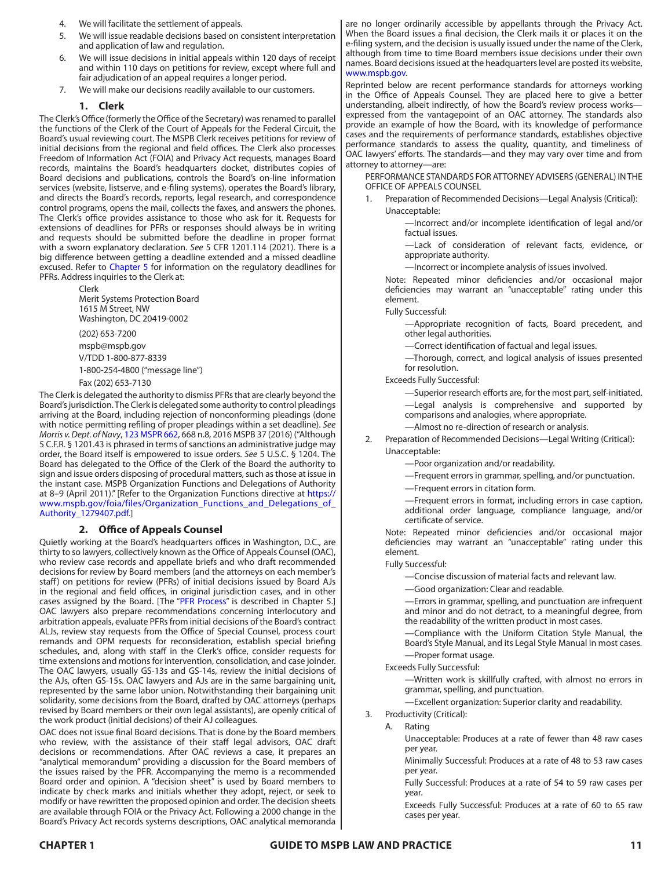- 4. We will facilitate the settlement of appeals.
- 5. We will issue readable decisions based on consistent interpretation and application of law and regulation.
- 6. We will issue decisions in initial appeals within 120 days of receipt and within 110 days on petitions for review, except where full and fair adjudication of an appeal requires a longer period.
- 7. We will make our decisions readily available to our customers.

## **1. Clerk**

The Clerk's Office (formerly the Office of the Secretary) was renamed to parallel the functions of the Clerk of the Court of Appeals for the Federal Circuit, the Board's usual reviewing court. The MSPB Clerk receives petitions for review of initial decisions from the regional and field offices. The Clerk also processes Freedom of Information Act (FOIA) and Privacy Act requests, manages Board records, maintains the Board's headquarters docket, distributes copies of Board decisions and publications, controls the Board's on-line information services (website, listserve, and e-filing systems), operates the Board's library, and directs the Board's records, reports, legal research, and correspondence control programs, opens the mail, collects the faxes, and answers the phones. The Clerk's office provides assistance to those who ask for it. Requests for extensions of deadlines for PFRs or responses should always be in writing and requests should be submitted before the deadline in proper format with a sworn explanatory declaration. *See* 5 CFR 1201.114 (2021). There is a big difference between getting a deadline extended and a missed deadline excused. Refer to Chapter 5 for information on the regulatory deadlines for PFRs. Address inquiries to the Clerk at:

> Clerk Merit Systems Protection Board 1615 M Street, NW Washington, DC 20419-0002

> (202) 653-7200 mspb@mspb.gov V/TDD 1-800-877-8339 1-800-254-4800 ("message line") Fax (202) 653-7130

The Clerk is delegated the authority to dismiss PFRs that are clearly beyond the Board's jurisdiction. The Clerk is delegated some authority to control pleadings arriving at the Board, including rejection of nonconforming pleadings (done with notice permitting refiling of proper pleadings within a set deadline). *See Morris v. Dept. of Navy*, [123 MSPR 662](https://www.mspb.gov/decisions/precedential/MORRIS_DEREK_J_SF_0752_13_1476_I_1_OPINION_AND_ORDER_1351634.pdf), 668 n.8, 2016 MSPB 37 (2016) ("Although 5 C.F.R. § 1201.43 is phrased in terms of sanctions an administrative judge may order, the Board itself is empowered to issue orders. *See* 5 U.S.C. § 1204. The Board has delegated to the Office of the Clerk of the Board the authority to sign and issue orders disposing of procedural matters, such as those at issue in the instant case. MSPB Organization Functions and Delegations of Authority at 8-9 (April 2011)." [Refer to the Organization Functions directive at [https://](https://www.mspb.gov/foia/files/Organization_Functions_and_Delegations_of_Authority_1279407.pdf) [www.mspb.gov/foia/files/Organization\\_Functions\\_and\\_Delegations\\_of\\_](https://www.mspb.gov/foia/files/Organization_Functions_and_Delegations_of_Authority_1279407.pdf) [Authority\\_1279407.pdf](https://www.mspb.gov/foia/files/Organization_Functions_and_Delegations_of_Authority_1279407.pdf).]

# **2. Office of Appeals Counsel**

Quietly working at the Board's headquarters offices in Washington, D.C., are thirty to so lawyers, collectively known as the Office of Appeals Counsel (OAC), who review case records and appellate briefs and who draft recommended decisions for review by Board members (and the attorneys on each member's staff) on petitions for review (PFRs) of initial decisions issued by Board AJs in the regional and field offices, in original jurisdiction cases, and in other cases assigned by the Board. [The "PFR Process" is described in Chapter 5.] OAC lawyers also prepare recommendations concerning interlocutory and arbitration appeals, evaluate PFRs from initial decisions of the Board's contract ALJs, review stay requests from the Office of Special Counsel, process court remands and OPM requests for reconsideration, establish special briefing schedules, and, along with staff in the Clerk's office, consider requests for time extensions and motions for intervention, consolidation, and case joinder. The OAC lawyers, usually GS-13s and GS-14s, review the initial decisions of the AJs, often GS-15s. OAC lawyers and AJs are in the same bargaining unit, represented by the same labor union. Notwithstanding their bargaining unit solidarity, some decisions from the Board, drafted by OAC attorneys (perhaps revised by Board members or their own legal assistants), are openly critical of the work product (initial decisions) of their AJ colleagues.

OAC does not issue final Board decisions. That is done by the Board members who review, with the assistance of their staff legal advisors, OAC draft decisions or recommendations. After OAC reviews a case, it prepares an "analytical memorandum" providing a discussion for the Board members of the issues raised by the PFR. Accompanying the memo is a recommended Board order and opinion. A "decision sheet" is used by Board members to indicate by check marks and initials whether they adopt, reject, or seek to modify or have rewritten the proposed opinion and order. The decision sheets are available through FOIA or the Privacy Act. Following a 2000 change in the Board's Privacy Act records systems descriptions, OAC analytical memoranda

are no longer ordinarily accessible by appellants through the Privacy Act. When the Board issues a final decision, the Clerk mails it or places it on the e-filing system, and the decision is usually issued under the name of the Clerk, although from time to time Board members issue decisions under their own names. Board decisions issued at the headquarters level are posted its website, [www.mspb.gov.](www.mspb.gov)

Reprinted below are recent performance standards for attorneys working in the Office of Appeals Counsel. They are placed here to give a better understanding, albeit indirectly, of how the Board's review process works expressed from the vantagepoint of an OAC attorney. The standards also provide an example of how the Board, with its knowledge of performance cases and the requirements of performance standards, establishes objective performance standards to assess the quality, quantity, and timeliness of OAC lawyers' efforts. The standards—and they may vary over time and from attorney to attorney—are:

PERFORMANCE STANDARDS FOR ATTORNEY ADVISERS (GENERAL) IN THE OFFICE OF APPEALS COUNSEL

1. Preparation of Recommended Decisions—Legal Analysis (Critical): Unacceptable:

> —Incorrect and/or incomplete identification of legal and/or factual issues.

> —Lack of consideration of relevant facts, evidence, or appropriate authority.

—Incorrect or incomplete analysis of issues involved.

Note: Repeated minor deficiencies and/or occasional major deficiencies may warrant an "unacceptable" rating under this element.

Fully Successful:

—Appropriate recognition of facts, Board precedent, and other legal authorities.

—Correct identification of factual and legal issues.

—Thorough, correct, and logical analysis of issues presented for resolution.

Exceeds Fully Successful:

—Superior research efforts are, for the most part, self-initiated. —Legal analysis is comprehensive and supported by comparisons and analogies, where appropriate.

—Almost no re-direction of research or analysis.

Preparation of Recommended Decisions—Legal Writing (Critical):

Unacceptable:

- —Poor organization and/or readability.
- —Frequent errors in grammar, spelling, and/or punctuation.
- —Frequent errors in citation form.

—Frequent errors in format, including errors in case caption, additional order language, compliance language, and/or certificate of service.

Note: Repeated minor deficiencies and/or occasional major deficiencies may warrant an "unacceptable" rating under this element.

Fully Successful:

—Concise discussion of material facts and relevant law.

—Good organization: Clear and readable.

—Errors in grammar, spelling, and punctuation are infrequent and minor and do not detract, to a meaningful degree, from the readability of the written product in most cases.

—Compliance with the Uniform Citation Style Manual, the Board's Style Manual, and its Legal Style Manual in most cases. —Proper format usage.

Exceeds Fully Successful:

—Written work is skillfully crafted, with almost no errors in grammar, spelling, and punctuation.

—Excellent organization: Superior clarity and readability.

- 3. Productivity (Critical):
	- A. Rating

Unacceptable: Produces at a rate of fewer than 48 raw cases per year.

Minimally Successful: Produces at a rate of 48 to 53 raw cases per year.

Fully Successful: Produces at a rate of 54 to 59 raw cases per year.

Exceeds Fully Successful: Produces at a rate of 60 to 65 raw cases per year.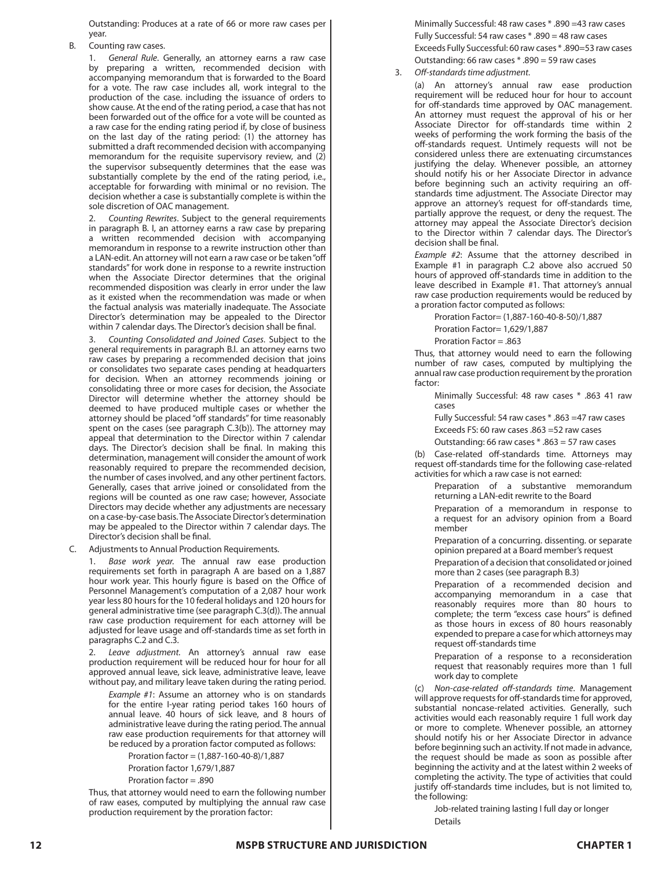Outstanding: Produces at a rate of 66 or more raw cases per year.

B. Counting raw cases.

1. *General Rule*. Generally, an attorney earns a raw case by preparing a written, recommended decision with accompanying memorandum that is forwarded to the Board for a vote. The raw case includes all, work integral to the production of the case. including the issuance of orders to show cause. At the end of the rating period, a case that has not been forwarded out of the office for a vote will be counted as a raw case for the ending rating period if, by close of business on the last day of the rating period: (1) the attorney has submitted a draft recommended decision with accompanying memorandum for the requisite supervisory review, and (2) the supervisor subsequently determines that the ease was substantially complete by the end of the rating period, i.e., acceptable for forwarding with minimal or no revision. The decision whether a case is substantially complete is within the sole discretion of OAC management.

2. *Counting Rewrites*. Subject to the general requirements in paragraph B. I, an attorney earns a raw case by preparing a written recommended decision with accompanying memorandum in response to a rewrite instruction other than a LAN-edit. An attorney will not earn a raw case or be taken "off standards" for work done in response to a rewrite instruction when the Associate Director determines that the original recommended disposition was clearly in error under the law as it existed when the recommendation was made or when the factual analysis was materially inadequate. The Associate Director's determination may be appealed to the Director within 7 calendar days. The Director's decision shall be final.

3. *Counting Consolidated and Joined Cases*. Subject to the general requirements in paragraph B.l. an attorney earns two raw cases by preparing a recommended decision that joins or consolidates two separate cases pending at headquarters for decision. When an attorney recommends joining or consolidating three or more cases for decision, the Associate Director will determine whether the attorney should be deemed to have produced multiple cases or whether the attorney should be placed "off standards" for time reasonably spent on the cases (see paragraph C.3(b)). The attorney may appeal that determination to the Director within 7 calendar days. The Director's decision shall be final. In making this determination, management will consider the amount of work reasonably required to prepare the recommended decision, the number of cases involved, and any other pertinent factors. Generally, cases that arrive joined or consolidated from the regions will be counted as one raw case; however, Associate Directors may decide whether any adjustments are necessary on a case-by-case basis. The Associate Director's determination may be appealed to the Director within 7 calendar days. The Director's decision shall be final.

C. Adjustments to Annual Production Requirements.

Base work year. The annual raw ease production requirements set forth in paragraph A are based on a 1,887 hour work year. This hourly figure is based on the Office of Personnel Management's computation of a 2,087 hour work year less 80 hours for the 10 federal holidays and 120 hours for general administrative time (see paragraph C.3(d)). The annual raw case production requirement for each attorney will be adjusted for leave usage and off-standards time as set forth in paragraphs C.2 and C.3.

2. *Leave adjustment.* An attorney's annual raw ease production requirement will be reduced hour for hour for all approved annual leave, sick leave, administrative leave, leave without pay, and military leave taken during the rating period.

*Example #1*: Assume an attorney who is on standards for the entire I-year rating period takes 160 hours of annual leave. 40 hours of sick leave, and 8 hours of administrative leave during the rating period. The annual raw ease production requirements for that attorney will be reduced by a proration factor computed as follows:

Proration factor = (1,887-160-40-8)/1,887 Proration factor 1,679/1,887 Proration factor = .890

Thus, that attorney would need to earn the following number of raw eases, computed by multiplying the annual raw case production requirement by the proration factor:

Minimally Successful: 48 raw cases \* .890 =43 raw cases Fully Successful: 54 raw cases \* .890 = 48 raw cases Exceeds Fully Successful: 60 raw cases \* .890=53 raw cases Outstanding: 66 raw cases \* .890 = 59 raw cases

3. *Off-standards time adjustment*.

(a) An attorney's annual raw ease production requirement will be reduced hour for hour to account for off-standards time approved by OAC management. An attorney must request the approval of his or her Associate Director for off-standards time within 2 weeks of performing the work forming the basis of the off-standards request. Untimely requests will not be considered unless there are extenuating circumstances justifying the delay. Whenever possible, an attorney should notify his or her Associate Director in advance before beginning such an activity requiring an offstandards time adjustment. The Associate Director may approve an attorney's request for off-standards time, partially approve the request, or deny the request. The attorney may appeal the Associate Director's decision to the Director within 7 calendar days. The Director's decision shall be final.

*Example #2*: Assume that the attorney described in Example #1 in paragraph C.2 above also accrued 50 hours of approved off-standards time in addition to the leave described in Example #1. That attorney's annual raw case production requirements would be reduced by a proration factor computed as follows:

Proration Factor= (1,887-160-40-8-50)/1,887

Proration Factor= 1,629/1,887

Proration Factor = .863

Thus, that attorney would need to earn the following number of raw cases, computed by multiplying the annual raw case production requirement by the proration factor:

Minimally Successful: 48 raw cases \* .863 41 raw cases

Fully Successful: 54 raw cases \* .863 =47 raw cases

Exceeds FS: 60 raw cases .863 =52 raw cases

Outstanding: 66 raw cases \* .863 = 57 raw cases

(b) Case-related off-standards time. Attorneys may request off-standards time for the following case-related activities for which a raw case is not earned:

Preparation of a substantive memorandum returning a LAN-edit rewrite to the Board

Preparation of a memorandum in response to a request for an advisory opinion from a Board member

Preparation of a concurring. dissenting. or separate opinion prepared at a Board member's request

Preparation of a decision that consolidated or joined more than 2 cases (see paragraph B.3)

Preparation of a recommended decision and accompanying memorandum in a case that reasonably requires more than 80 hours to complete; the term "excess case hours" is defined as those hours in excess of 80 hours reasonably expended to prepare a case for which attorneys may request off-standards time

Preparation of a response to a reconsideration request that reasonably requires more than 1 full work day to complete

(c) *Non-case-related off-standards time*. Management will approve requests for off-standards time for approved, substantial noncase-related activities. Generally, such activities would each reasonably require 1 full work day or more to complete. Whenever possible, an attorney should notify his or her Associate Director in advance before beginning such an activity. If not made in advance, the request should be made as soon as possible after beginning the activity and at the latest within 2 weeks of completing the activity. The type of activities that could justify off-standards time includes, but is not limited to, the following:

Job-related training lasting I full day or longer **Details**